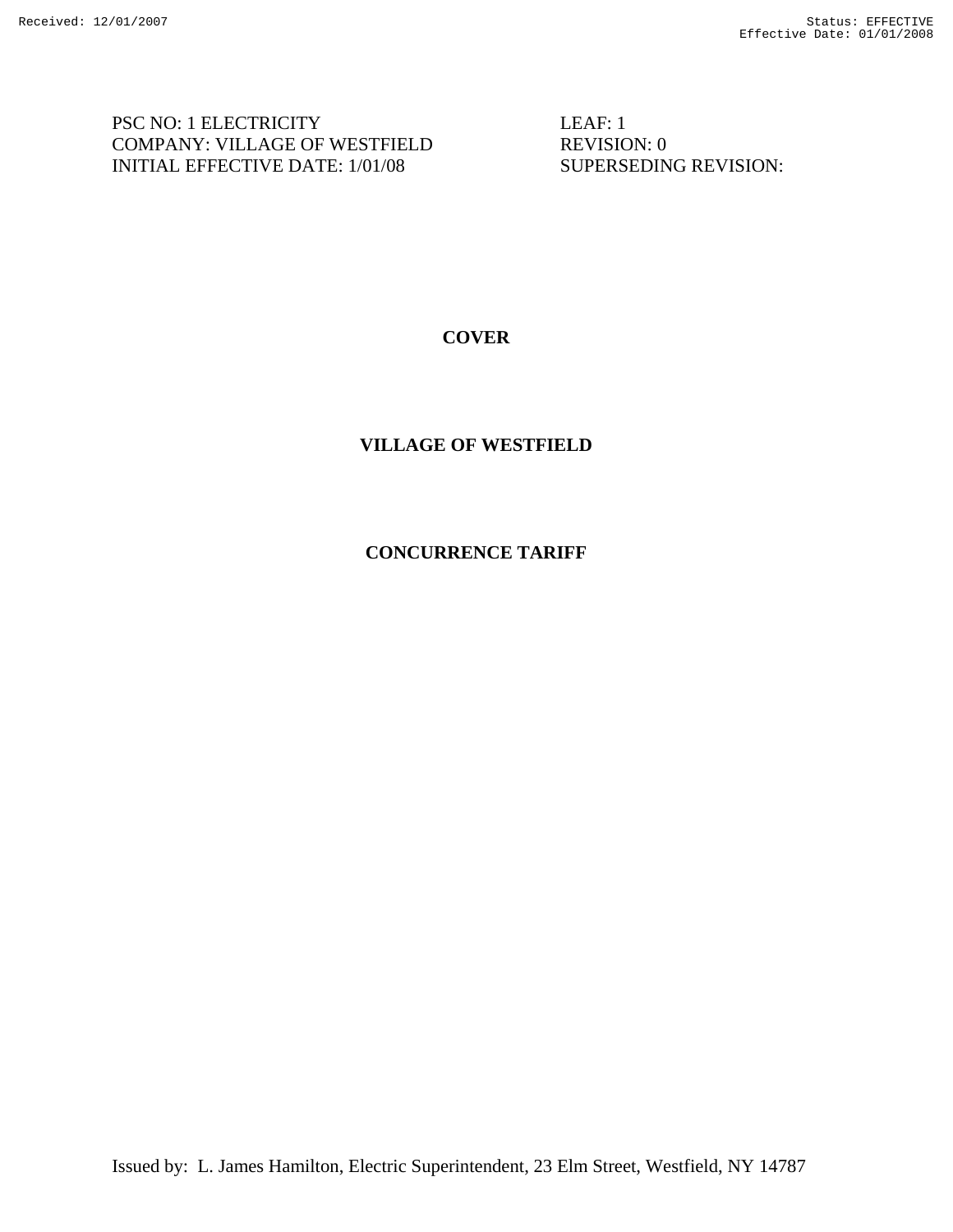PSC NO: 1 ELECTRICITY LEAF: 1 COMPANY: VILLAGE OF WESTFIELD REVISION: 0 INITIAL EFFECTIVE DATE: 1/01/08 SUPERSEDING REVISION:

# **COVER**

# **VILLAGE OF WESTFIELD**

## **CONCURRENCE TARIFF**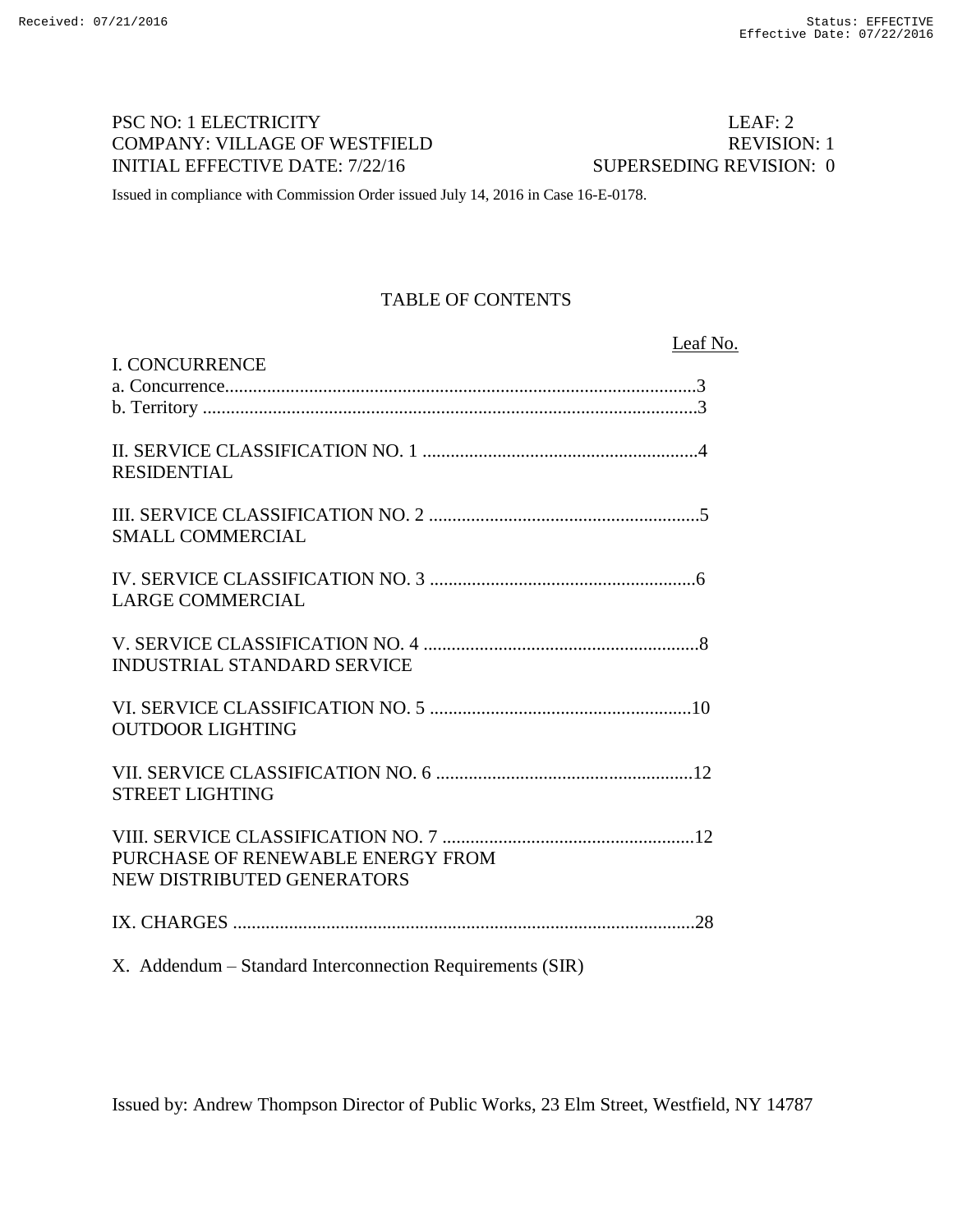# PSC NO: 1 ELECTRICITY LEAF: 2 COMPANY: VILLAGE OF WESTFIELD REVISION: 1 INITIAL EFFECTIVE DATE: 7/22/16 SUPERSEDING REVISION: 0

Issued in compliance with Commission Order issued July 14, 2016 in Case 16-E-0178.

# TABLE OF CONTENTS

| Leaf No.                                                        |
|-----------------------------------------------------------------|
| <b>I. CONCURRENCE</b>                                           |
| <b>RESIDENTIAL</b>                                              |
| <b>SMALL COMMERCIAL</b>                                         |
| <b>LARGE COMMERCIAL</b>                                         |
| <b>INDUSTRIAL STANDARD SERVICE</b>                              |
| <b>OUTDOOR LIGHTING</b>                                         |
| <b>STREET LIGHTING</b>                                          |
| PURCHASE OF RENEWABLE ENERGY FROM<br>NEW DISTRIBUTED GENERATORS |
|                                                                 |
| X. Addendum – Standard Interconnection Requirements (SIR)       |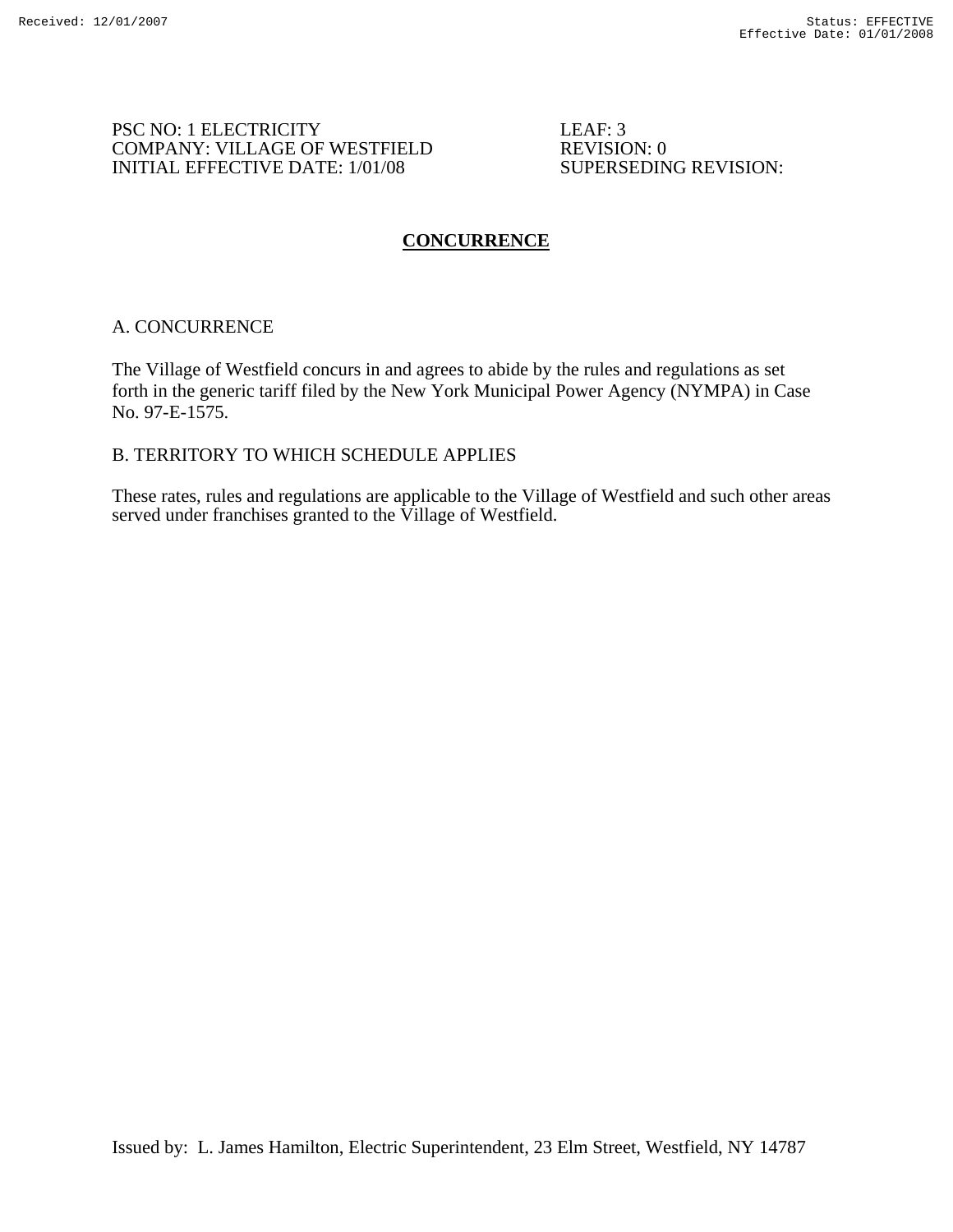#### PSC NO: 1 ELECTRICITY LEAF: 3 COMPANY: VILLAGE OF WESTFIELD<br>
INITIAL EFFECTIVE DATE: 1/01/08 SUPERSEDING REVISION: INITIAL EFFECTIVE DATE:  $1/01/08$

# **CONCURRENCE**

## A. CONCURRENCE

The Village of Westfield concurs in and agrees to abide by the rules and regulations as set forth in the generic tariff filed by the New York Municipal Power Agency (NYMPA) in Case No. 97-E-1575.

## B. TERRITORY TO WHICH SCHEDULE APPLIES

These rates, rules and regulations are applicable to the Village of Westfield and such other areas served under franchises granted to the Village of Westfield.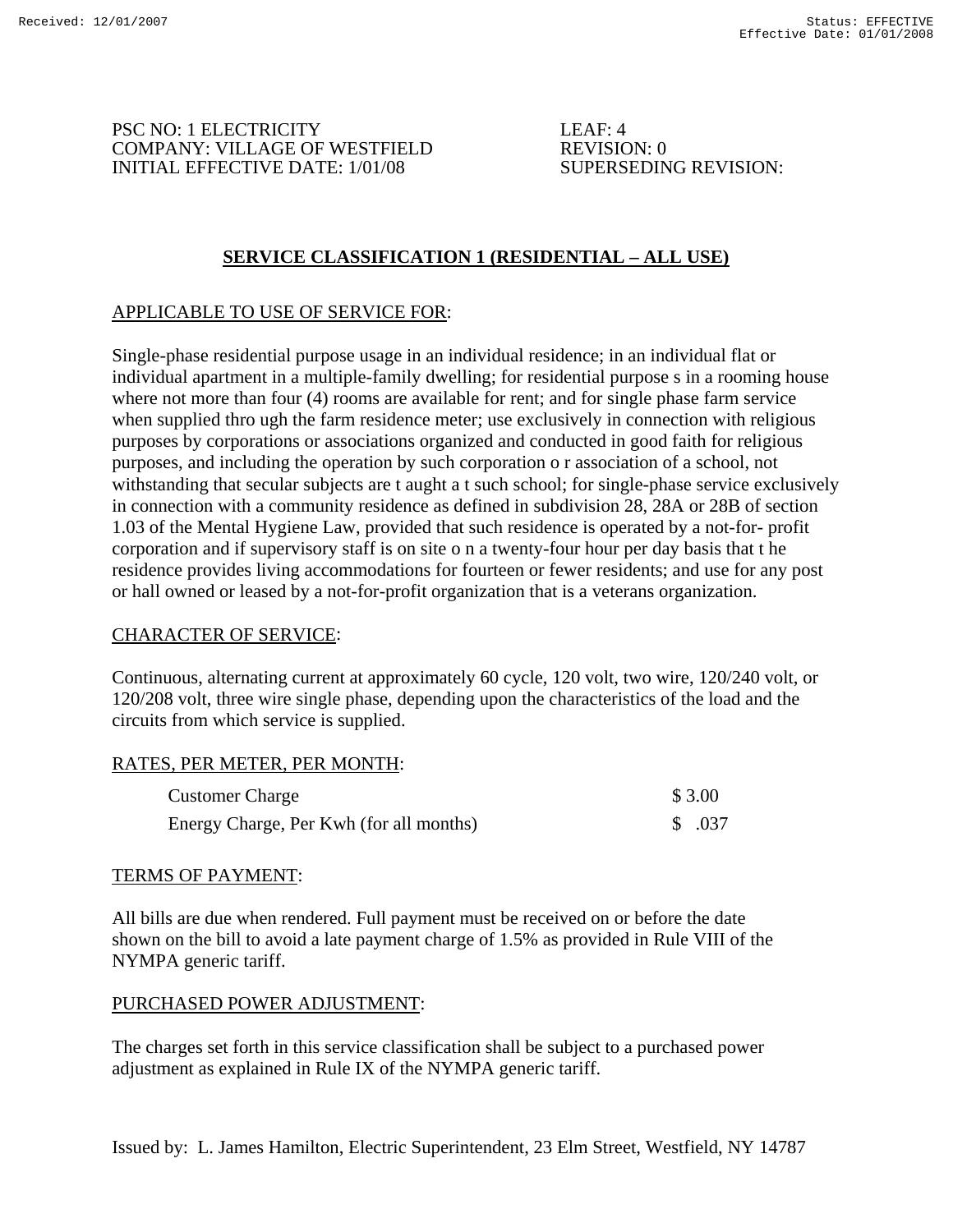PSC NO: 1 ELECTRICITY LEAF: 4 COMPANY: VILLAGE OF WESTFIELD<br>
INITIAL EFFECTIVE DATE: 1/01/08 SUPERSEDING REVISION: INITIAL EFFECTIVE DATE:  $1/01/08$ 

# **SERVICE CLASSIFICATION 1 (RESIDENTIAL – ALL USE)**

# APPLICABLE TO USE OF SERVICE FOR:

Single-phase residential purpose usage in an individual residence; in an individual flat or individual apartment in a multiple-family dwelling; for residential purpose s in a rooming house where not more than four (4) rooms are available for rent; and for single phase farm service when supplied thro ugh the farm residence meter; use exclusively in connection with religious purposes by corporations or associations organized and conducted in good faith for religious purposes, and including the operation by such corporation o r association of a school, not withstanding that secular subjects are t aught a t such school; for single-phase service exclusively in connection with a community residence as defined in subdivision 28, 28A or 28B of section 1.03 of the Mental Hygiene Law, provided that such residence is operated by a not-for- profit corporation and if supervisory staff is on site o n a twenty-four hour per day basis that t he residence provides living accommodations for fourteen or fewer residents; and use for any post or hall owned or leased by a not-for-profit organization that is a veterans organization.

## CHARACTER OF SERVICE:

Continuous, alternating current at approximately 60 cycle, 120 volt, two wire, 120/240 volt, or 120/208 volt, three wire single phase, depending upon the characteristics of the load and the circuits from which service is supplied.

## RATES, PER METER, PER MONTH:

| <b>Customer Charge</b>                  | \$3.00  |
|-----------------------------------------|---------|
| Energy Charge, Per Kwh (for all months) | \$ .037 |

## TERMS OF PAYMENT:

All bills are due when rendered. Full payment must be received on or before the date shown on the bill to avoid a late payment charge of 1.5% as provided in Rule VIII of the NYMPA generic tariff.

## PURCHASED POWER ADJUSTMENT:

The charges set forth in this service classification shall be subject to a purchased power adjustment as explained in Rule IX of the NYMPA generic tariff.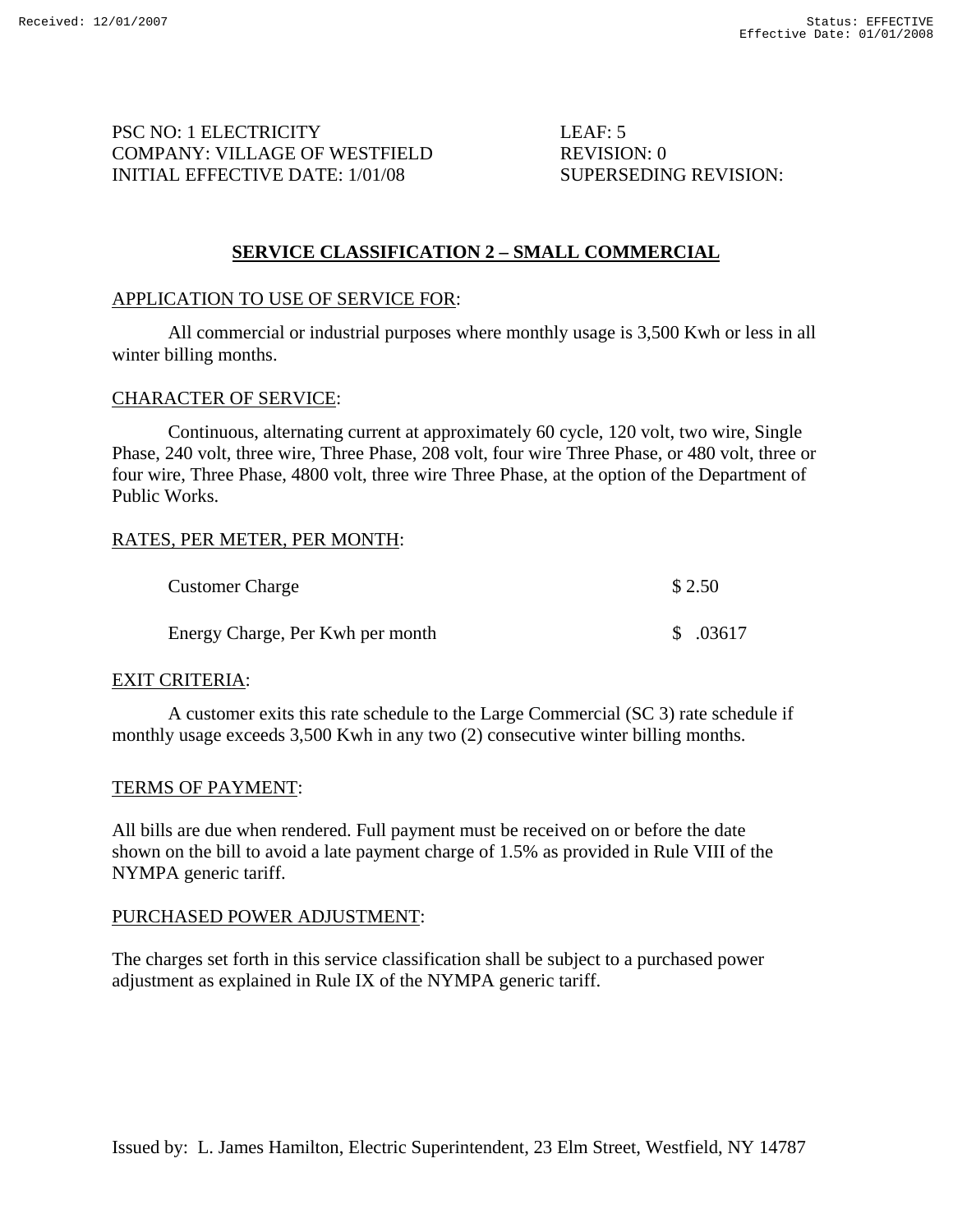PSC NO: 1 ELECTRICITY LEAF: 5 COMPANY: VILLAGE OF WESTFIELD REVISION: 0 INITIAL EFFECTIVE DATE: 1/01/08 SUPERSEDING REVISION:

## **SERVICE CLASSIFICATION 2 – SMALL COMMERCIAL**

## APPLICATION TO USE OF SERVICE FOR:

 All commercial or industrial purposes where monthly usage is 3,500 Kwh or less in all winter billing months.

#### CHARACTER OF SERVICE:

 Continuous, alternating current at approximately 60 cycle, 120 volt, two wire, Single Phase, 240 volt, three wire, Three Phase, 208 volt, four wire Three Phase, or 480 volt, three or four wire, Three Phase, 4800 volt, three wire Three Phase, at the option of the Department of Public Works.

## RATES, PER METER, PER MONTH:

| <b>Customer Charge</b>           | \$2.50    |
|----------------------------------|-----------|
| Energy Charge, Per Kwh per month | \$ .03617 |

#### EXIT CRITERIA:

 A customer exits this rate schedule to the Large Commercial (SC 3) rate schedule if monthly usage exceeds 3,500 Kwh in any two (2) consecutive winter billing months.

#### TERMS OF PAYMENT:

All bills are due when rendered. Full payment must be received on or before the date shown on the bill to avoid a late payment charge of 1.5% as provided in Rule VIII of the NYMPA generic tariff.

#### PURCHASED POWER ADJUSTMENT:

The charges set forth in this service classification shall be subject to a purchased power adjustment as explained in Rule IX of the NYMPA generic tariff.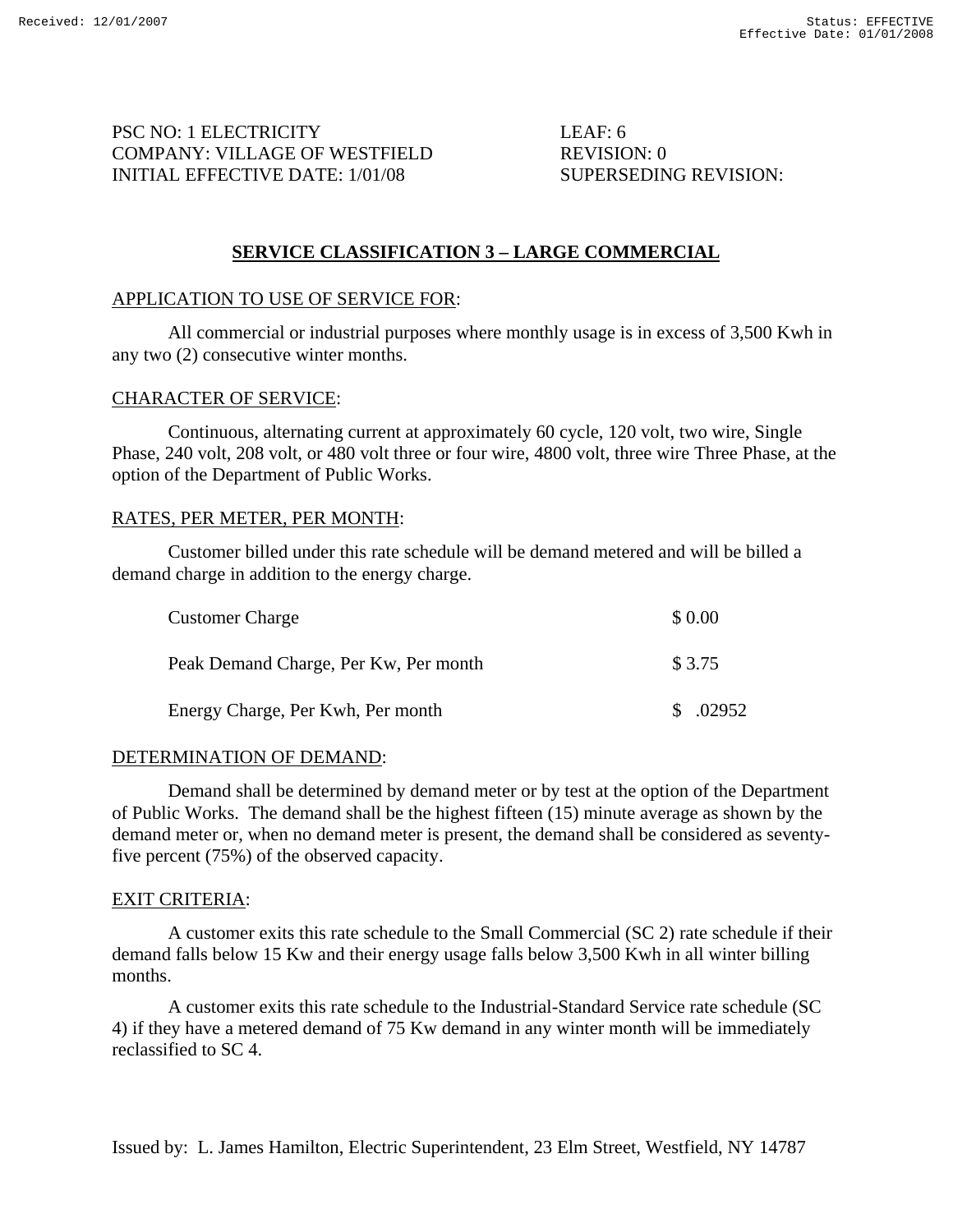PSC NO: 1 ELECTRICITY LEAF: 6 COMPANY: VILLAGE OF WESTFIELD REVISION: 0 INITIAL EFFECTIVE DATE: 1/01/08 SUPERSEDING REVISION:

## **SERVICE CLASSIFICATION 3 – LARGE COMMERCIAL**

#### APPLICATION TO USE OF SERVICE FOR:

 All commercial or industrial purposes where monthly usage is in excess of 3,500 Kwh in any two (2) consecutive winter months.

#### CHARACTER OF SERVICE:

 Continuous, alternating current at approximately 60 cycle, 120 volt, two wire, Single Phase, 240 volt, 208 volt, or 480 volt three or four wire, 4800 volt, three wire Three Phase, at the option of the Department of Public Works.

#### RATES, PER METER, PER MONTH:

 Customer billed under this rate schedule will be demand metered and will be billed a demand charge in addition to the energy charge.

| <b>Customer Charge</b>                | \$0.00    |
|---------------------------------------|-----------|
| Peak Demand Charge, Per Kw, Per month | \$ 3.75   |
| Energy Charge, Per Kwh, Per month     | \$ .02952 |

#### DETERMINATION OF DEMAND:

 Demand shall be determined by demand meter or by test at the option of the Department of Public Works. The demand shall be the highest fifteen (15) minute average as shown by the demand meter or, when no demand meter is present, the demand shall be considered as seventyfive percent (75%) of the observed capacity.

#### EXIT CRITERIA:

 A customer exits this rate schedule to the Small Commercial (SC 2) rate schedule if their demand falls below 15 Kw and their energy usage falls below 3,500 Kwh in all winter billing months.

 A customer exits this rate schedule to the Industrial-Standard Service rate schedule (SC 4) if they have a metered demand of 75 Kw demand in any winter month will be immediately reclassified to SC 4.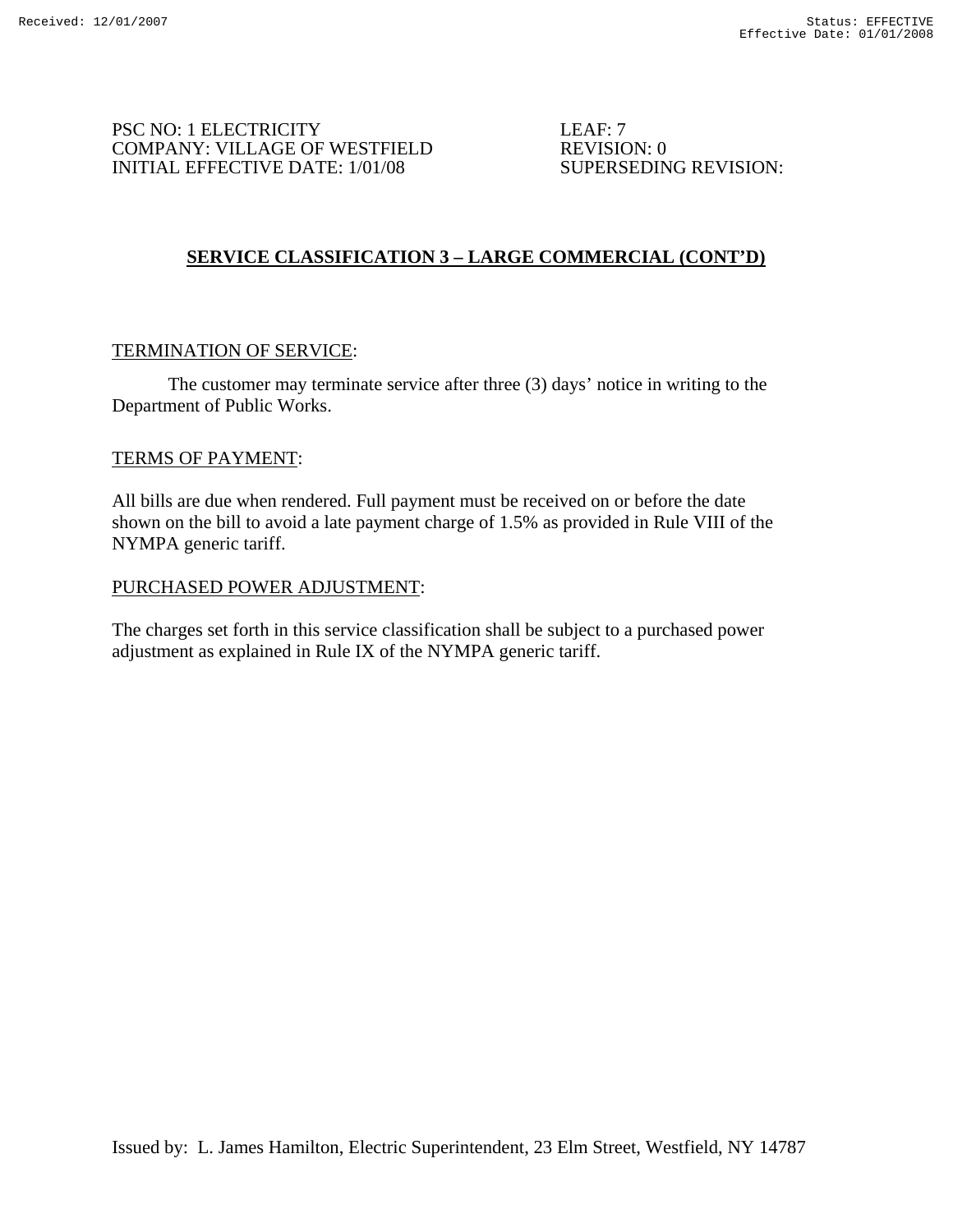PSC NO: 1 ELECTRICITY LEAF: 7 COMPANY: VILLAGE OF WESTFIELD REVISION: 0 INITIAL EFFECTIVE DATE: 1/01/08 SUPERSEDING REVISION:

# **SERVICE CLASSIFICATION 3 – LARGE COMMERCIAL (CONT'D)**

## TERMINATION OF SERVICE:

 The customer may terminate service after three (3) days' notice in writing to the Department of Public Works.

#### TERMS OF PAYMENT:

All bills are due when rendered. Full payment must be received on or before the date shown on the bill to avoid a late payment charge of 1.5% as provided in Rule VIII of the NYMPA generic tariff.

#### PURCHASED POWER ADJUSTMENT:

The charges set forth in this service classification shall be subject to a purchased power adjustment as explained in Rule IX of the NYMPA generic tariff.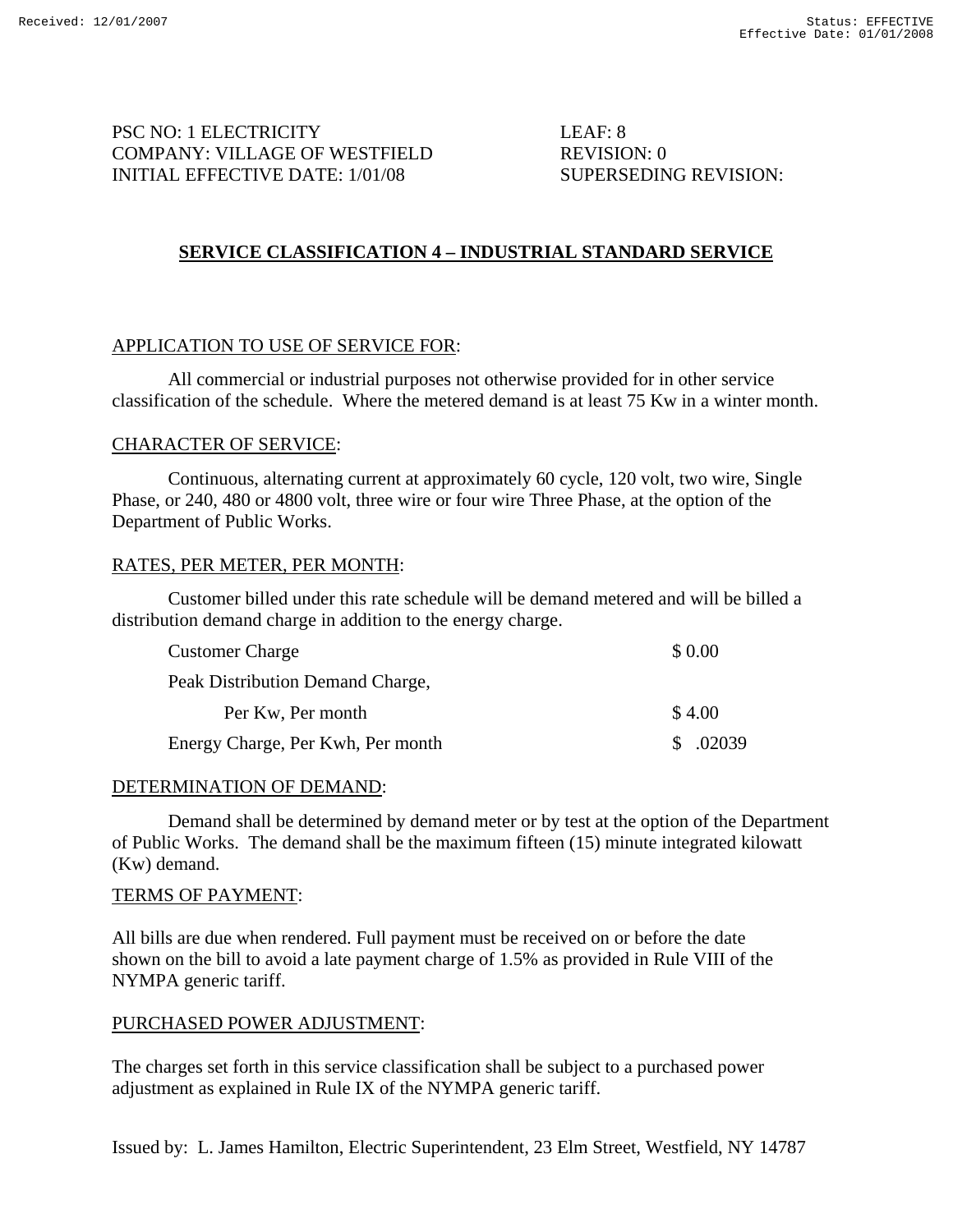# PSC NO: 1 ELECTRICITY LEAF: 8 COMPANY: VILLAGE OF WESTFIELD REVISION: 0 INITIAL EFFECTIVE DATE: 1/01/08 SUPERSEDING REVISION:

# **SERVICE CLASSIFICATION 4 – INDUSTRIAL STANDARD SERVICE**

# APPLICATION TO USE OF SERVICE FOR:

 All commercial or industrial purposes not otherwise provided for in other service classification of the schedule. Where the metered demand is at least 75 Kw in a winter month.

## CHARACTER OF SERVICE:

 Continuous, alternating current at approximately 60 cycle, 120 volt, two wire, Single Phase, or 240, 480 or 4800 volt, three wire or four wire Three Phase, at the option of the Department of Public Works.

## RATES, PER METER, PER MONTH:

 Customer billed under this rate schedule will be demand metered and will be billed a distribution demand charge in addition to the energy charge.

| <b>Customer Charge</b>            | \$ 0.00 |
|-----------------------------------|---------|
| Peak Distribution Demand Charge,  |         |
| Per Kw, Per month                 | \$4.00  |
| Energy Charge, Per Kwh, Per month | \$02039 |

#### DETERMINATION OF DEMAND:

 Demand shall be determined by demand meter or by test at the option of the Department of Public Works. The demand shall be the maximum fifteen (15) minute integrated kilowatt (Kw) demand.

## TERMS OF PAYMENT:

All bills are due when rendered. Full payment must be received on or before the date shown on the bill to avoid a late payment charge of 1.5% as provided in Rule VIII of the NYMPA generic tariff.

## PURCHASED POWER ADJUSTMENT:

The charges set forth in this service classification shall be subject to a purchased power adjustment as explained in Rule IX of the NYMPA generic tariff.

Issued by: L. James Hamilton, Electric Superintendent, 23 Elm Street, Westfield, NY 14787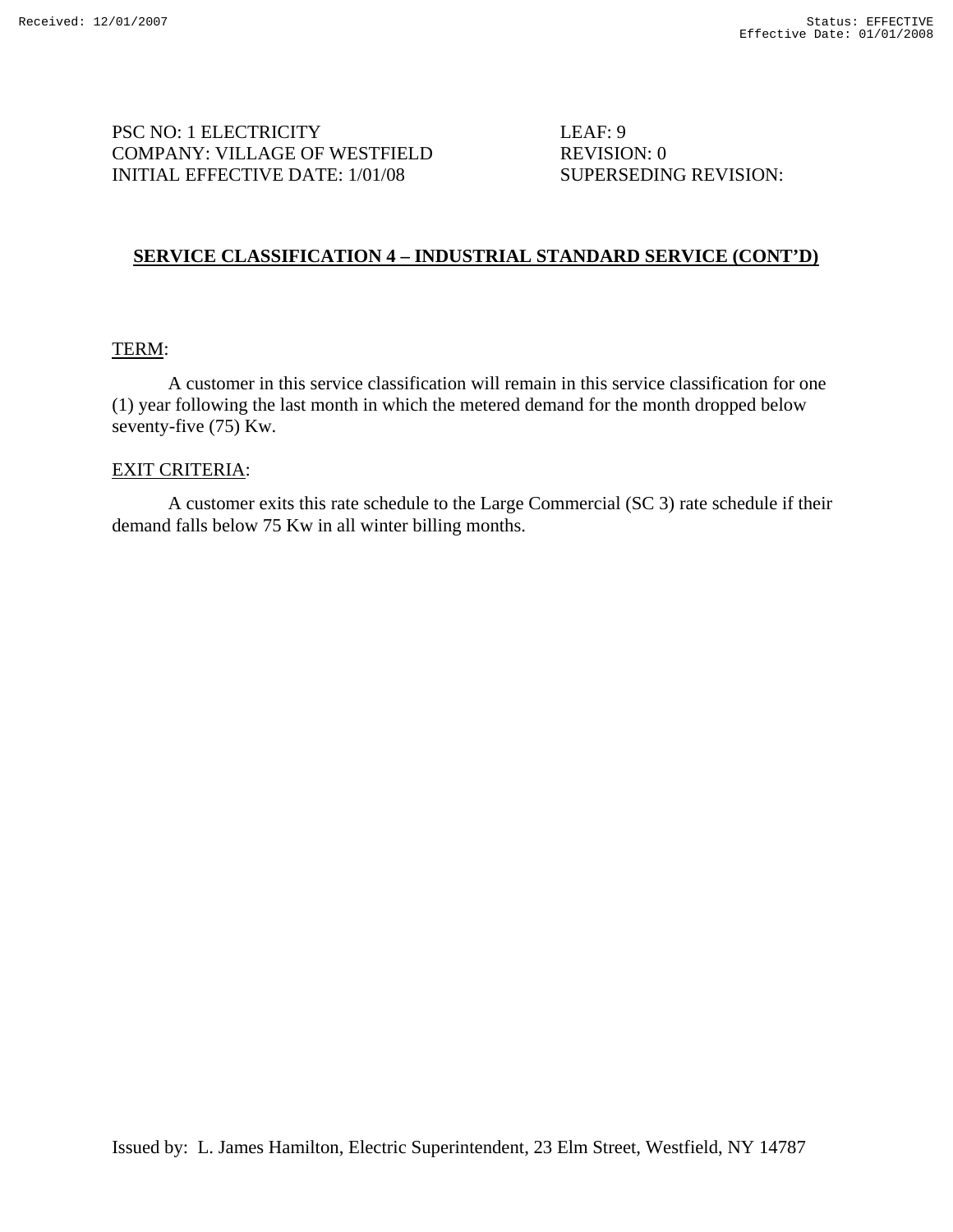PSC NO: 1 ELECTRICITY LEAF: 9 COMPANY: VILLAGE OF WESTFIELD REVISION: 0 INITIAL EFFECTIVE DATE: 1/01/08 SUPERSEDING REVISION:

# **SERVICE CLASSIFICATION 4 – INDUSTRIAL STANDARD SERVICE (CONT'D)**

#### TERM:

 A customer in this service classification will remain in this service classification for one (1) year following the last month in which the metered demand for the month dropped below seventy-five (75) Kw.

#### EXIT CRITERIA:

 A customer exits this rate schedule to the Large Commercial (SC 3) rate schedule if their demand falls below 75 Kw in all winter billing months.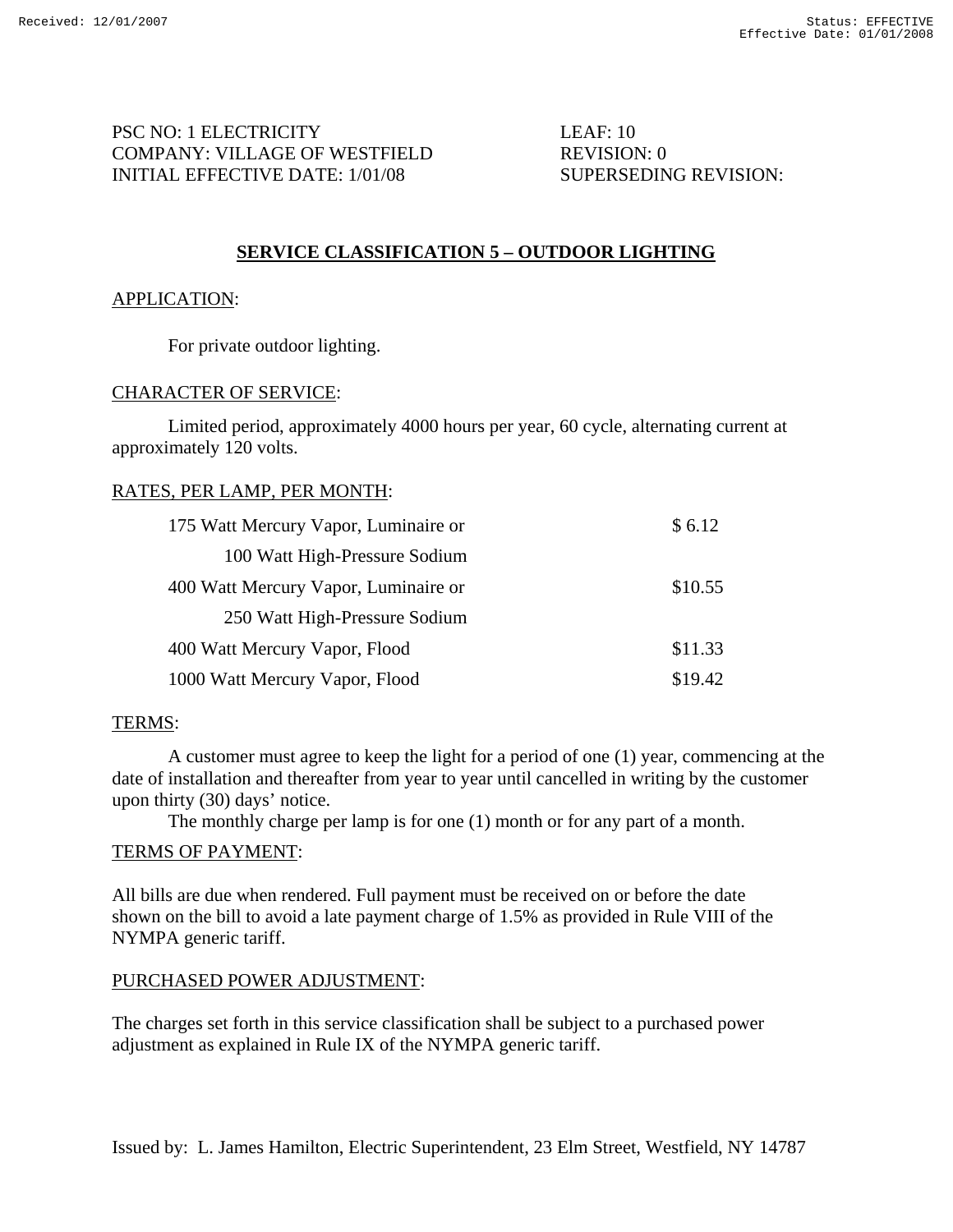PSC NO: 1 ELECTRICITY LEAF: 10 COMPANY: VILLAGE OF WESTFIELD REVISION: 0 INITIAL EFFECTIVE DATE: 1/01/08 SUPERSEDING REVISION:

# **SERVICE CLASSIFICATION 5 – OUTDOOR LIGHTING**

## APPLICATION:

For private outdoor lighting.

## CHARACTER OF SERVICE:

 Limited period, approximately 4000 hours per year, 60 cycle, alternating current at approximately 120 volts.

## RATES, PER LAMP, PER MONTH:

| 175 Watt Mercury Vapor, Luminaire or | \$6.12  |
|--------------------------------------|---------|
| 100 Watt High-Pressure Sodium        |         |
| 400 Watt Mercury Vapor, Luminaire or | \$10.55 |
| 250 Watt High-Pressure Sodium        |         |
| 400 Watt Mercury Vapor, Flood        | \$11.33 |
| 1000 Watt Mercury Vapor, Flood       | \$19.42 |

## TERMS:

 A customer must agree to keep the light for a period of one (1) year, commencing at the date of installation and thereafter from year to year until cancelled in writing by the customer upon thirty (30) days' notice.

The monthly charge per lamp is for one (1) month or for any part of a month.

## TERMS OF PAYMENT:

All bills are due when rendered. Full payment must be received on or before the date shown on the bill to avoid a late payment charge of 1.5% as provided in Rule VIII of the NYMPA generic tariff.

## PURCHASED POWER ADJUSTMENT:

The charges set forth in this service classification shall be subject to a purchased power adjustment as explained in Rule IX of the NYMPA generic tariff.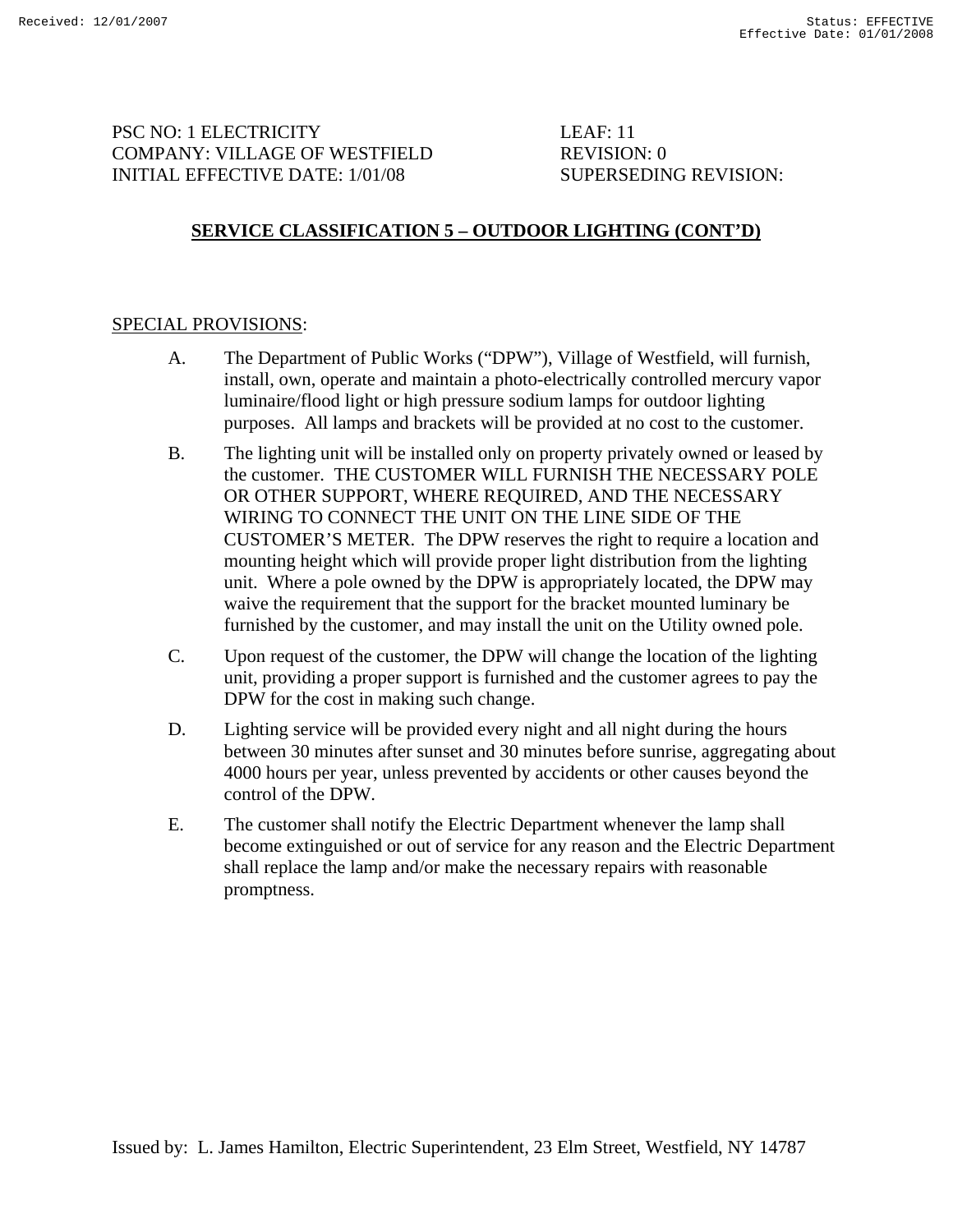PSC NO: 1 ELECTRICITY LEAF: 11 COMPANY: VILLAGE OF WESTFIELD REVISION: 0 INITIAL EFFECTIVE DATE: 1/01/08 SUPERSEDING REVISION:

# **SERVICE CLASSIFICATION 5 – OUTDOOR LIGHTING (CONT'D)**

## SPECIAL PROVISIONS:

- A. The Department of Public Works ("DPW"), Village of Westfield, will furnish, install, own, operate and maintain a photo-electrically controlled mercury vapor luminaire/flood light or high pressure sodium lamps for outdoor lighting purposes. All lamps and brackets will be provided at no cost to the customer.
- B. The lighting unit will be installed only on property privately owned or leased by the customer. THE CUSTOMER WILL FURNISH THE NECESSARY POLE OR OTHER SUPPORT, WHERE REQUIRED, AND THE NECESSARY WIRING TO CONNECT THE UNIT ON THE LINE SIDE OF THE CUSTOMER'S METER. The DPW reserves the right to require a location and mounting height which will provide proper light distribution from the lighting unit. Where a pole owned by the DPW is appropriately located, the DPW may waive the requirement that the support for the bracket mounted luminary be furnished by the customer, and may install the unit on the Utility owned pole.
- C. Upon request of the customer, the DPW will change the location of the lighting unit, providing a proper support is furnished and the customer agrees to pay the DPW for the cost in making such change.
- D. Lighting service will be provided every night and all night during the hours between 30 minutes after sunset and 30 minutes before sunrise, aggregating about 4000 hours per year, unless prevented by accidents or other causes beyond the control of the DPW.
- E. The customer shall notify the Electric Department whenever the lamp shall become extinguished or out of service for any reason and the Electric Department shall replace the lamp and/or make the necessary repairs with reasonable promptness.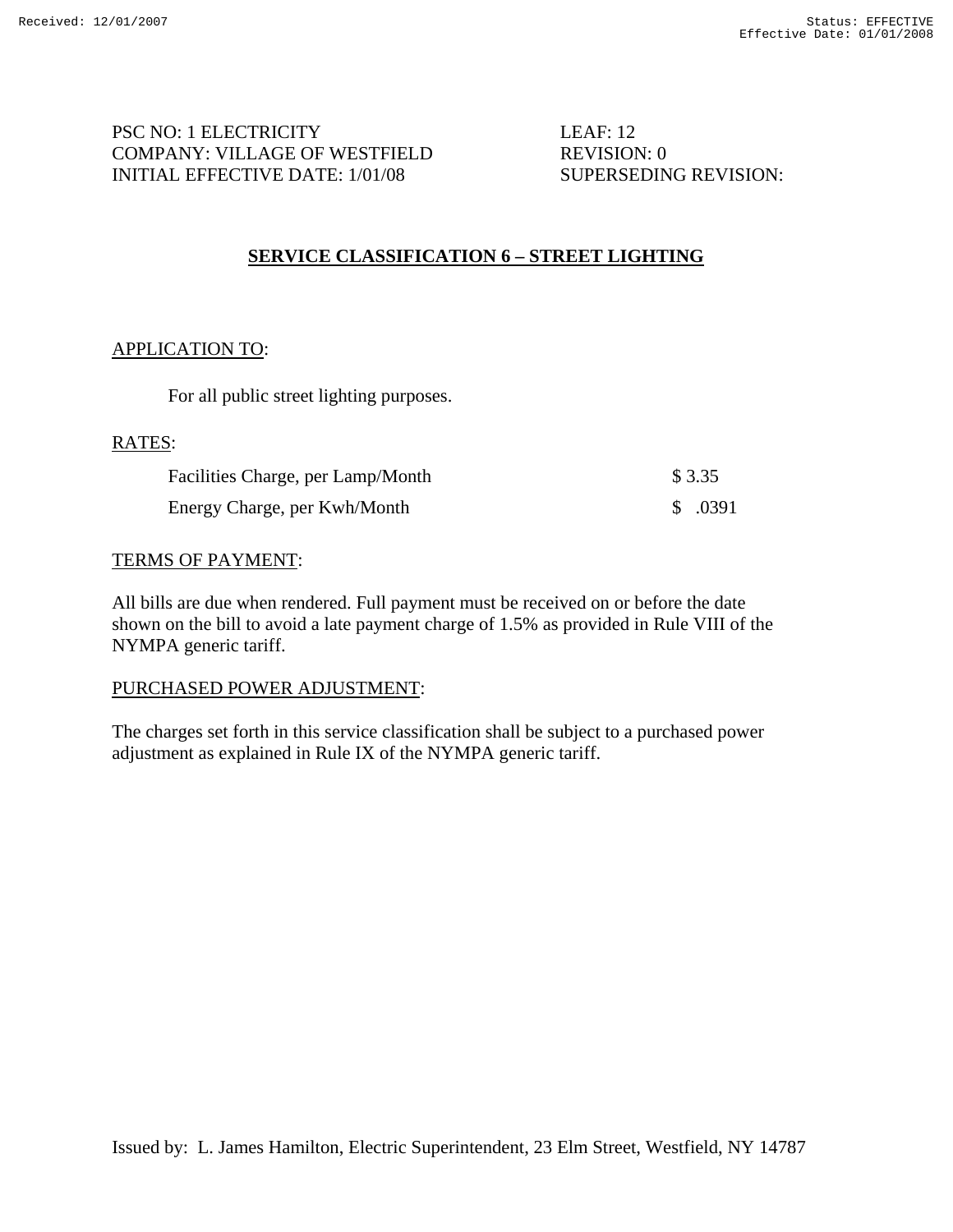PSC NO: 1 ELECTRICITY LEAF: 12 COMPANY: VILLAGE OF WESTFIELD REVISION: 0 INITIAL EFFECTIVE DATE: 1/01/08 SUPERSEDING REVISION:

# **SERVICE CLASSIFICATION 6 – STREET LIGHTING**

## APPLICATION TO:

For all public street lighting purposes.

#### RATES:

| Facilities Charge, per Lamp/Month | \$ 3.35  |
|-----------------------------------|----------|
| Energy Charge, per Kwh/Month      | \$ .0391 |

## TERMS OF PAYMENT:

All bills are due when rendered. Full payment must be received on or before the date shown on the bill to avoid a late payment charge of 1.5% as provided in Rule VIII of the NYMPA generic tariff.

# PURCHASED POWER ADJUSTMENT:

The charges set forth in this service classification shall be subject to a purchased power adjustment as explained in Rule IX of the NYMPA generic tariff.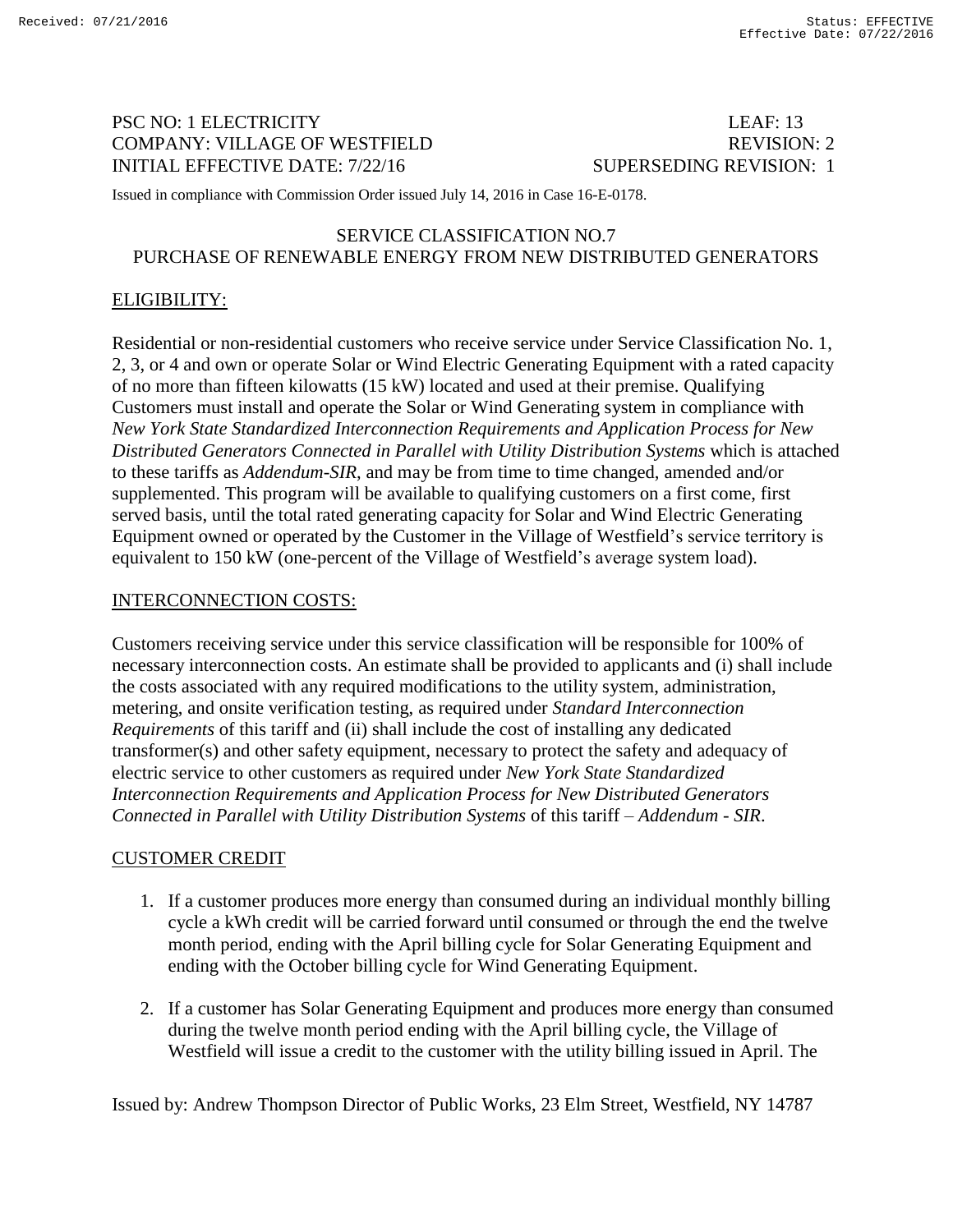# PSC NO: 1 ELECTRICITY LEAF: 13 COMPANY: VILLAGE OF WESTFIELD REVISION: 2 INITIAL EFFECTIVE DATE: 7/22/16 SUPERSEDING REVISION: 1

Issued in compliance with Commission Order issued July 14, 2016 in Case 16-E-0178.

## SERVICE CLASSIFICATION NO.7 PURCHASE OF RENEWABLE ENERGY FROM NEW DISTRIBUTED GENERATORS

## ELIGIBILITY:

Residential or non-residential customers who receive service under Service Classification No. 1, 2, 3, or 4 and own or operate Solar or Wind Electric Generating Equipment with a rated capacity of no more than fifteen kilowatts (15 kW) located and used at their premise. Qualifying Customers must install and operate the Solar or Wind Generating system in compliance with *New York State Standardized Interconnection Requirements and Application Process for New Distributed Generators Connected in Parallel with Utility Distribution Systems* which is attached to these tariffs as *Addendum-SIR*, and may be from time to time changed, amended and/or supplemented. This program will be available to qualifying customers on a first come, first served basis, until the total rated generating capacity for Solar and Wind Electric Generating Equipment owned or operated by the Customer in the Village of Westfield's service territory is equivalent to 150 kW (one-percent of the Village of Westfield's average system load).

#### INTERCONNECTION COSTS:

Customers receiving service under this service classification will be responsible for 100% of necessary interconnection costs. An estimate shall be provided to applicants and (i) shall include the costs associated with any required modifications to the utility system, administration, metering, and onsite verification testing, as required under *Standard Interconnection Requirements* of this tariff and (ii) shall include the cost of installing any dedicated transformer(s) and other safety equipment, necessary to protect the safety and adequacy of electric service to other customers as required under *New York State Standardized Interconnection Requirements and Application Process for New Distributed Generators Connected in Parallel with Utility Distribution Systems* of this tariff – *Addendum - SIR*.

## CUSTOMER CREDIT

- 1. If a customer produces more energy than consumed during an individual monthly billing cycle a kWh credit will be carried forward until consumed or through the end the twelve month period, ending with the April billing cycle for Solar Generating Equipment and ending with the October billing cycle for Wind Generating Equipment.
- 2. If a customer has Solar Generating Equipment and produces more energy than consumed during the twelve month period ending with the April billing cycle, the Village of Westfield will issue a credit to the customer with the utility billing issued in April. The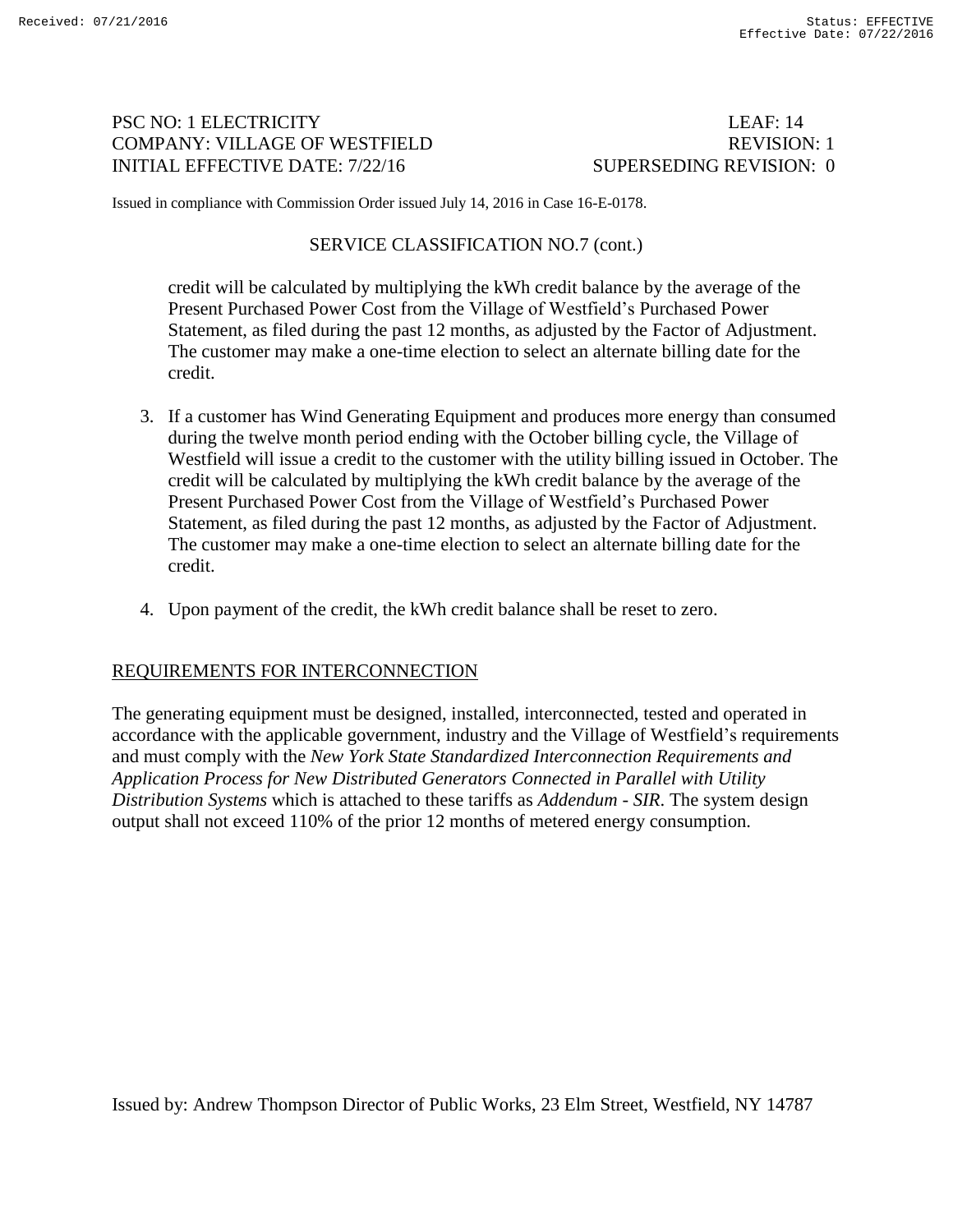# PSC NO: 1 ELECTRICITY LEAF: 14 COMPANY: VILLAGE OF WESTFIELD REVISION: 1 INITIAL EFFECTIVE DATE: 7/22/16 SUPERSEDING REVISION: 0

Issued in compliance with Commission Order issued July 14, 2016 in Case 16-E-0178.

## SERVICE CLASSIFICATION NO.7 (cont.)

credit will be calculated by multiplying the kWh credit balance by the average of the Present Purchased Power Cost from the Village of Westfield's Purchased Power Statement, as filed during the past 12 months, as adjusted by the Factor of Adjustment. The customer may make a one-time election to select an alternate billing date for the credit.

- 3. If a customer has Wind Generating Equipment and produces more energy than consumed during the twelve month period ending with the October billing cycle, the Village of Westfield will issue a credit to the customer with the utility billing issued in October. The credit will be calculated by multiplying the kWh credit balance by the average of the Present Purchased Power Cost from the Village of Westfield's Purchased Power Statement, as filed during the past 12 months, as adjusted by the Factor of Adjustment. The customer may make a one-time election to select an alternate billing date for the credit.
- 4. Upon payment of the credit, the kWh credit balance shall be reset to zero.

## REQUIREMENTS FOR INTERCONNECTION

The generating equipment must be designed, installed, interconnected, tested and operated in accordance with the applicable government, industry and the Village of Westfield's requirements and must comply with the *New York State Standardized Interconnection Requirements and Application Process for New Distributed Generators Connected in Parallel with Utility Distribution Systems* which is attached to these tariffs as *Addendum - SIR*. The system design output shall not exceed 110% of the prior 12 months of metered energy consumption.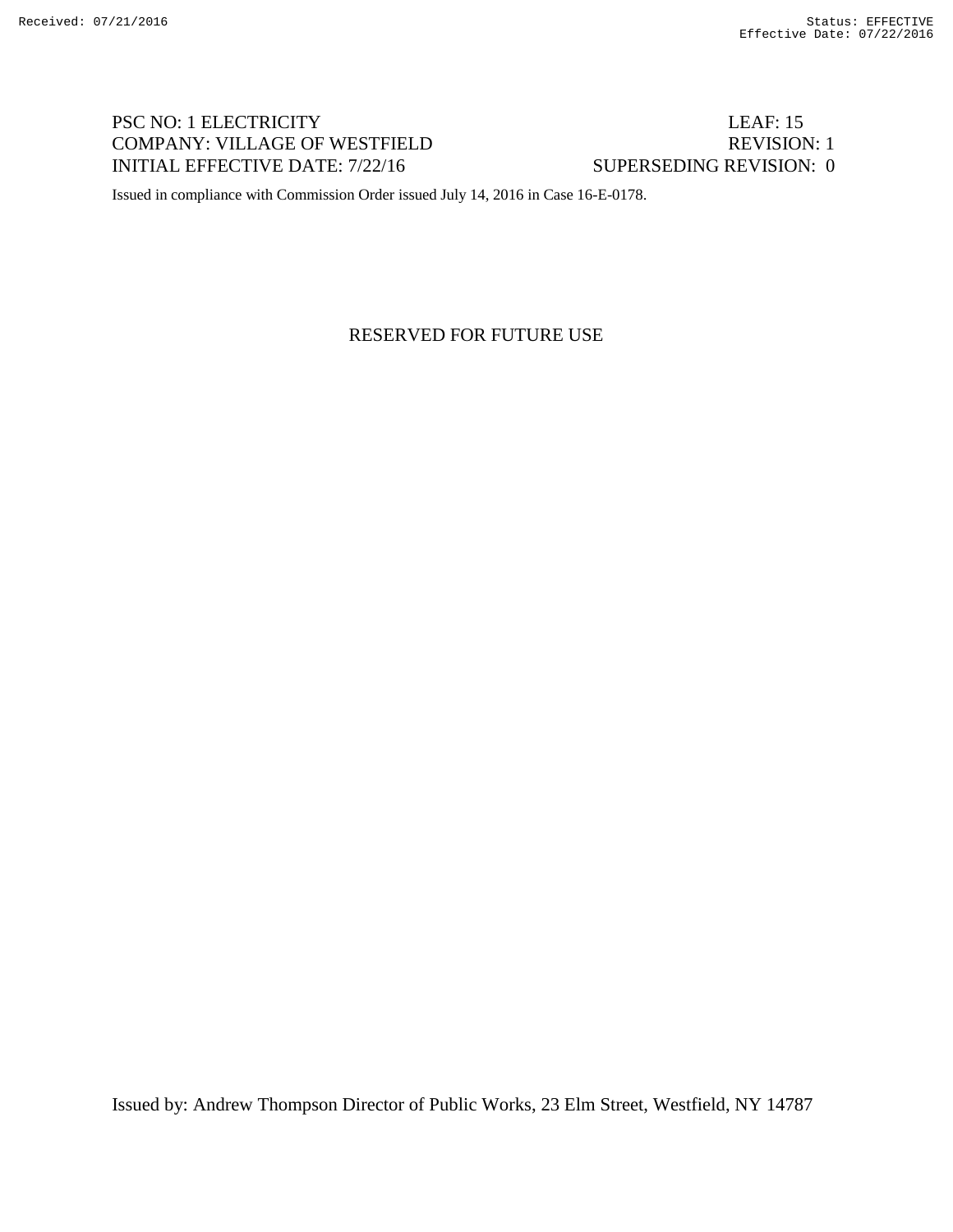# PSC NO: 1 ELECTRICITY LEAF: 15 COMPANY: VILLAGE OF WESTFIELD REVISION: 1 INITIAL EFFECTIVE DATE: 7/22/16 SUPERSEDING REVISION: 0

Issued in compliance with Commission Order issued July 14, 2016 in Case 16-E-0178.

RESERVED FOR FUTURE USE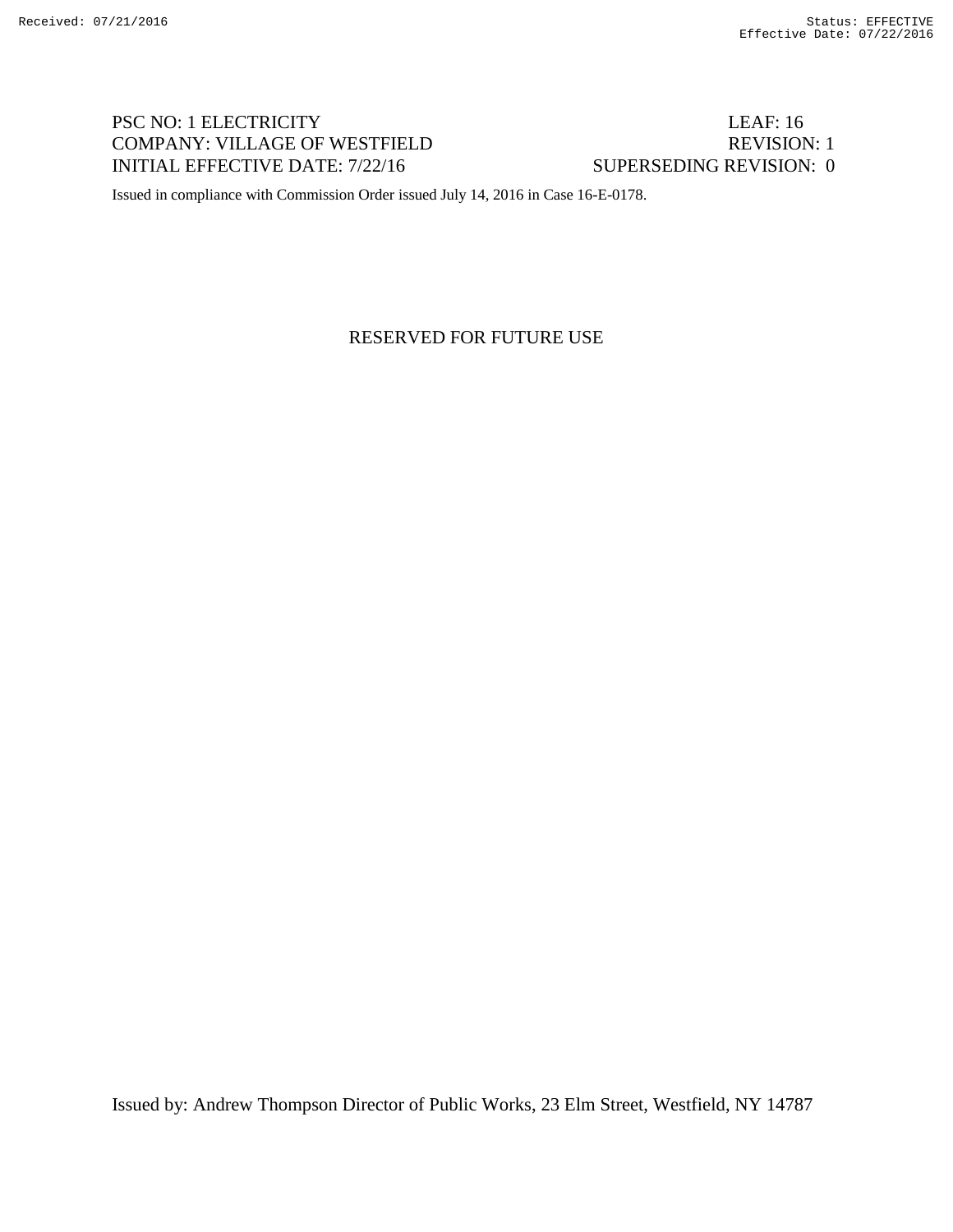# PSC NO: 1 ELECTRICITY LEAF: 16 COMPANY: VILLAGE OF WESTFIELD REVISION: 1 INITIAL EFFECTIVE DATE: 7/22/16 SUPERSEDING REVISION: 0

Issued in compliance with Commission Order issued July 14, 2016 in Case 16-E-0178.

RESERVED FOR FUTURE USE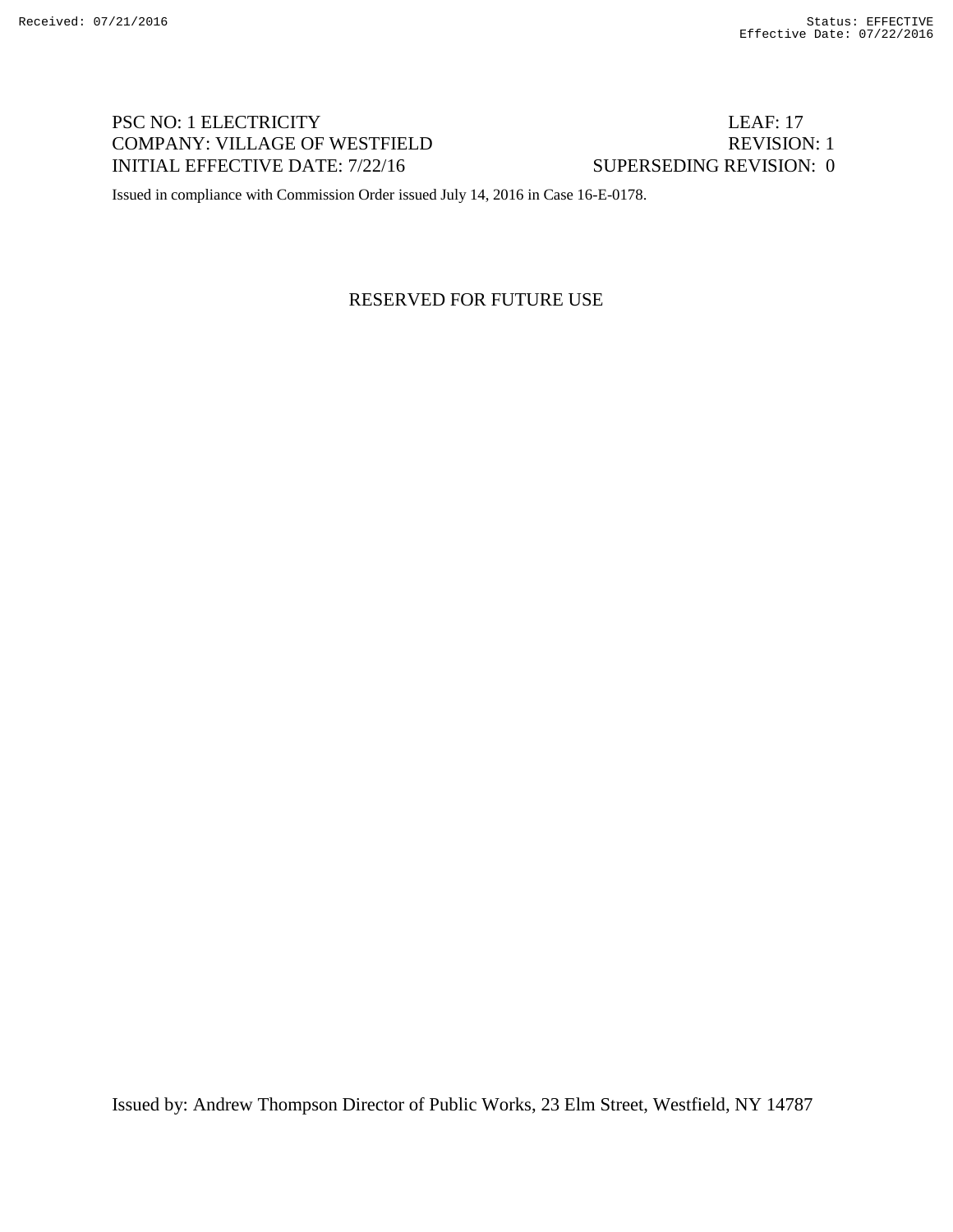# PSC NO: 1 ELECTRICITY LEAF: 17 COMPANY: VILLAGE OF WESTFIELD REVISION: 1 INITIAL EFFECTIVE DATE: 7/22/16 SUPERSEDING REVISION: 0

Issued in compliance with Commission Order issued July 14, 2016 in Case 16-E-0178.

## RESERVED FOR FUTURE USE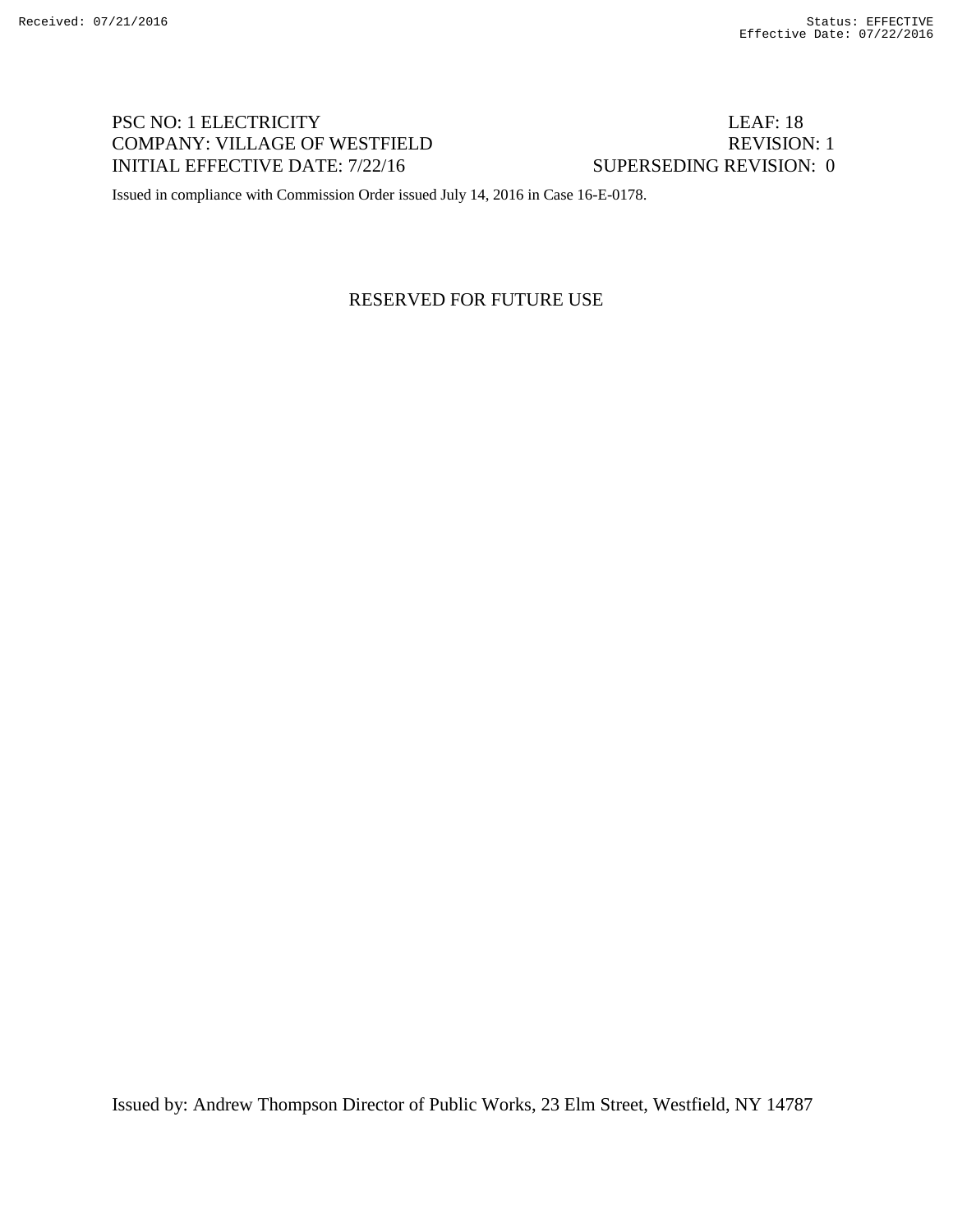# PSC NO: 1 ELECTRICITY LEAF: 18 COMPANY: VILLAGE OF WESTFIELD REVISION: 1 INITIAL EFFECTIVE DATE: 7/22/16 SUPERSEDING REVISION: 0

Issued in compliance with Commission Order issued July 14, 2016 in Case 16-E-0178.

## RESERVED FOR FUTURE USE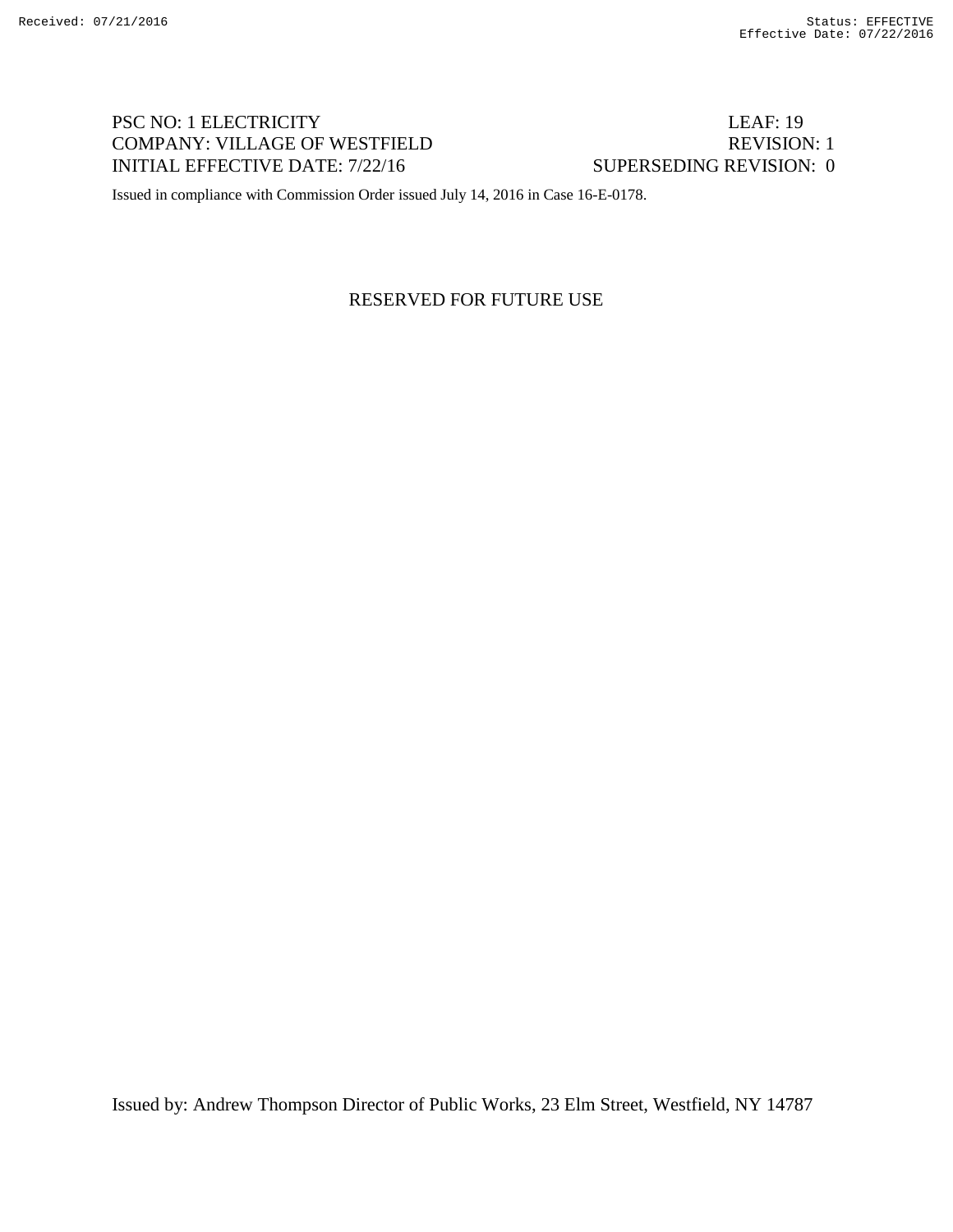# PSC NO: 1 ELECTRICITY LEAF: 19 COMPANY: VILLAGE OF WESTFIELD REVISION: 1 INITIAL EFFECTIVE DATE: 7/22/16 SUPERSEDING REVISION: 0

Issued in compliance with Commission Order issued July 14, 2016 in Case 16-E-0178.

## RESERVED FOR FUTURE USE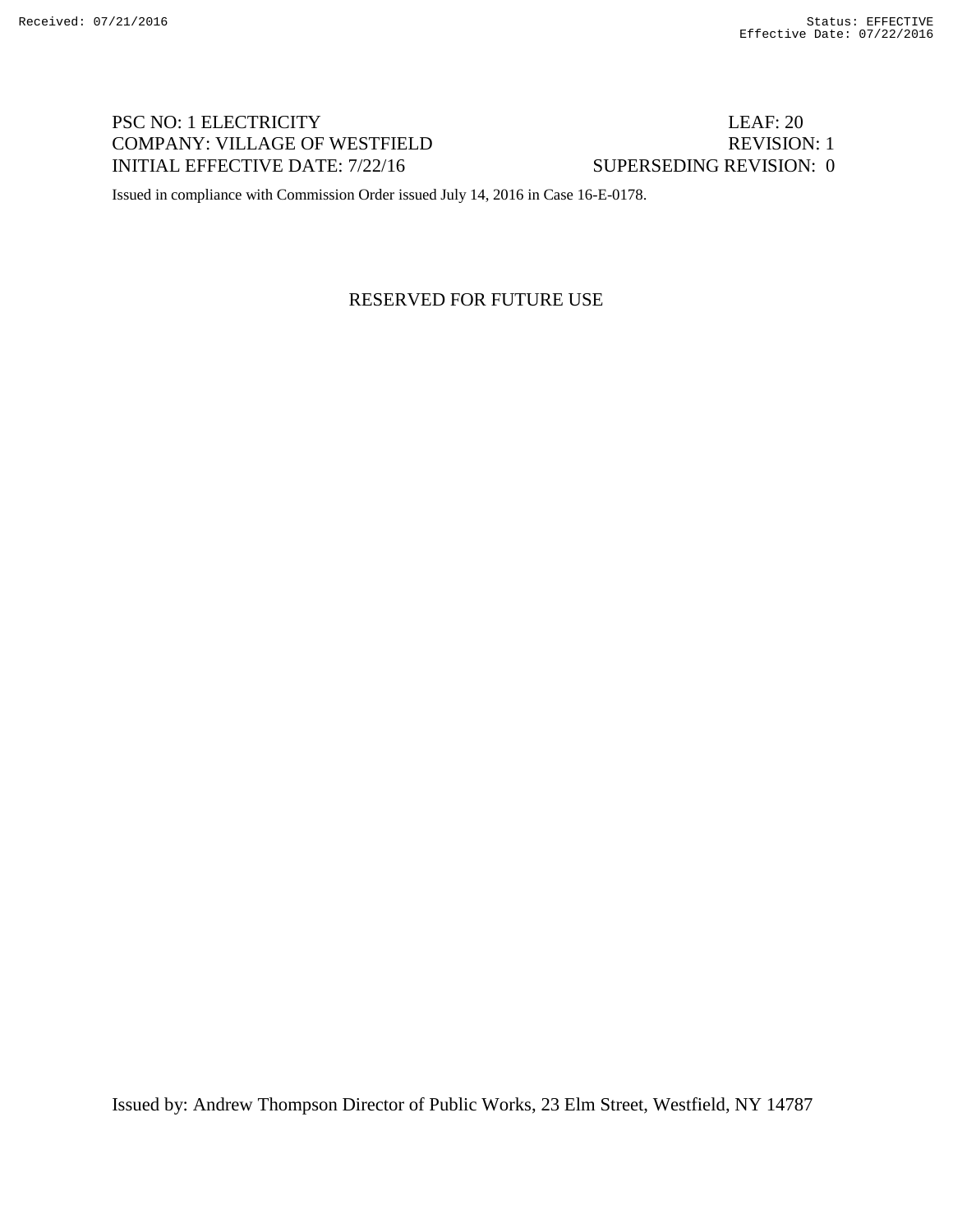# PSC NO: 1 ELECTRICITY LEAF: 20 COMPANY: VILLAGE OF WESTFIELD REVISION: 1 INITIAL EFFECTIVE DATE: 7/22/16 SUPERSEDING REVISION: 0

Issued in compliance with Commission Order issued July 14, 2016 in Case 16-E-0178.

## RESERVED FOR FUTURE USE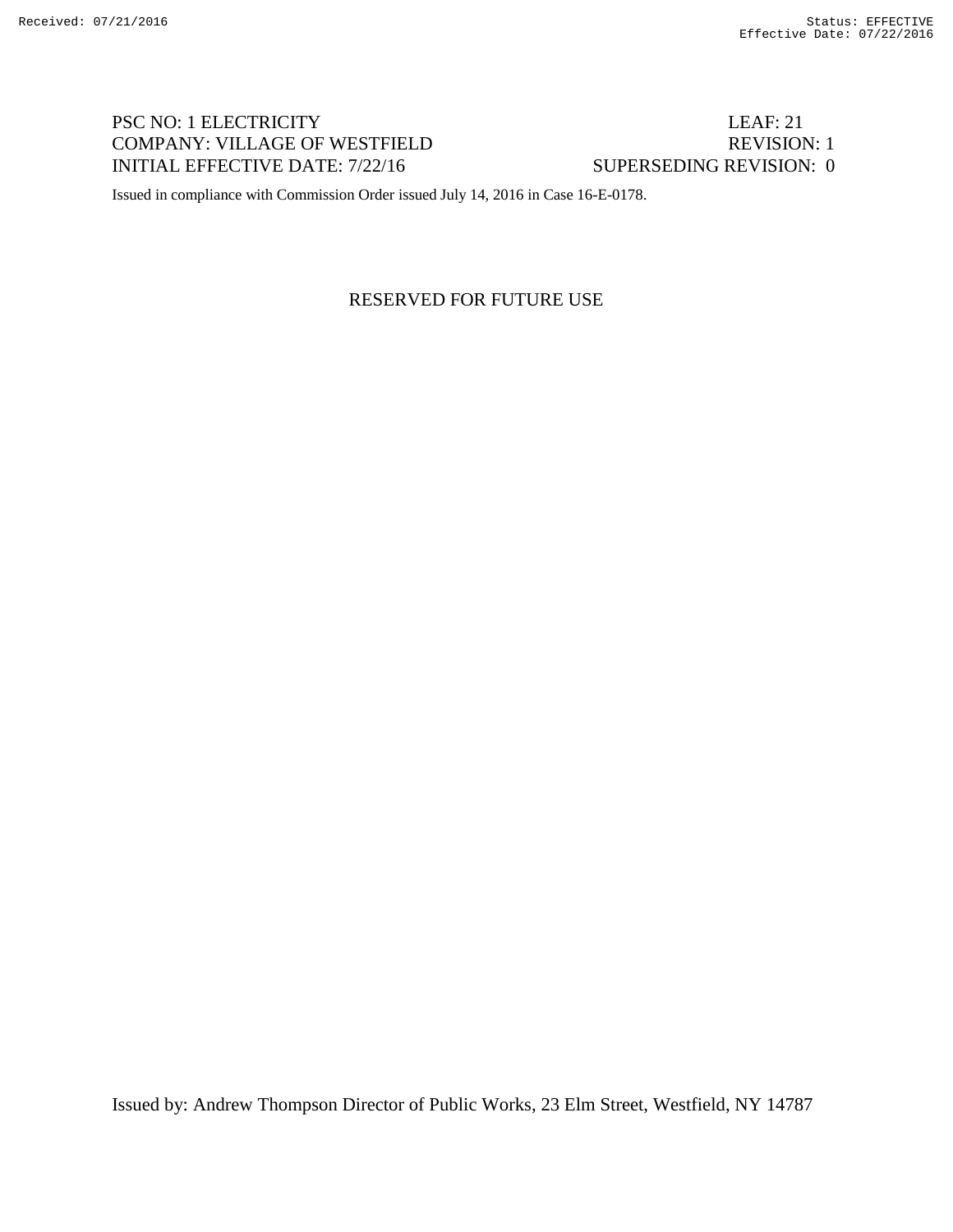# PSC NO: 1 ELECTRICITY LEAF: 21 COMPANY: VILLAGE OF WESTFIELD REVISION: 1 INITIAL EFFECTIVE DATE: 7/22/16 SUPERSEDING REVISION: 0

Issued in compliance with Commission Order issued July 14, 2016 in Case 16-E-0178.

## RESERVED FOR FUTURE USE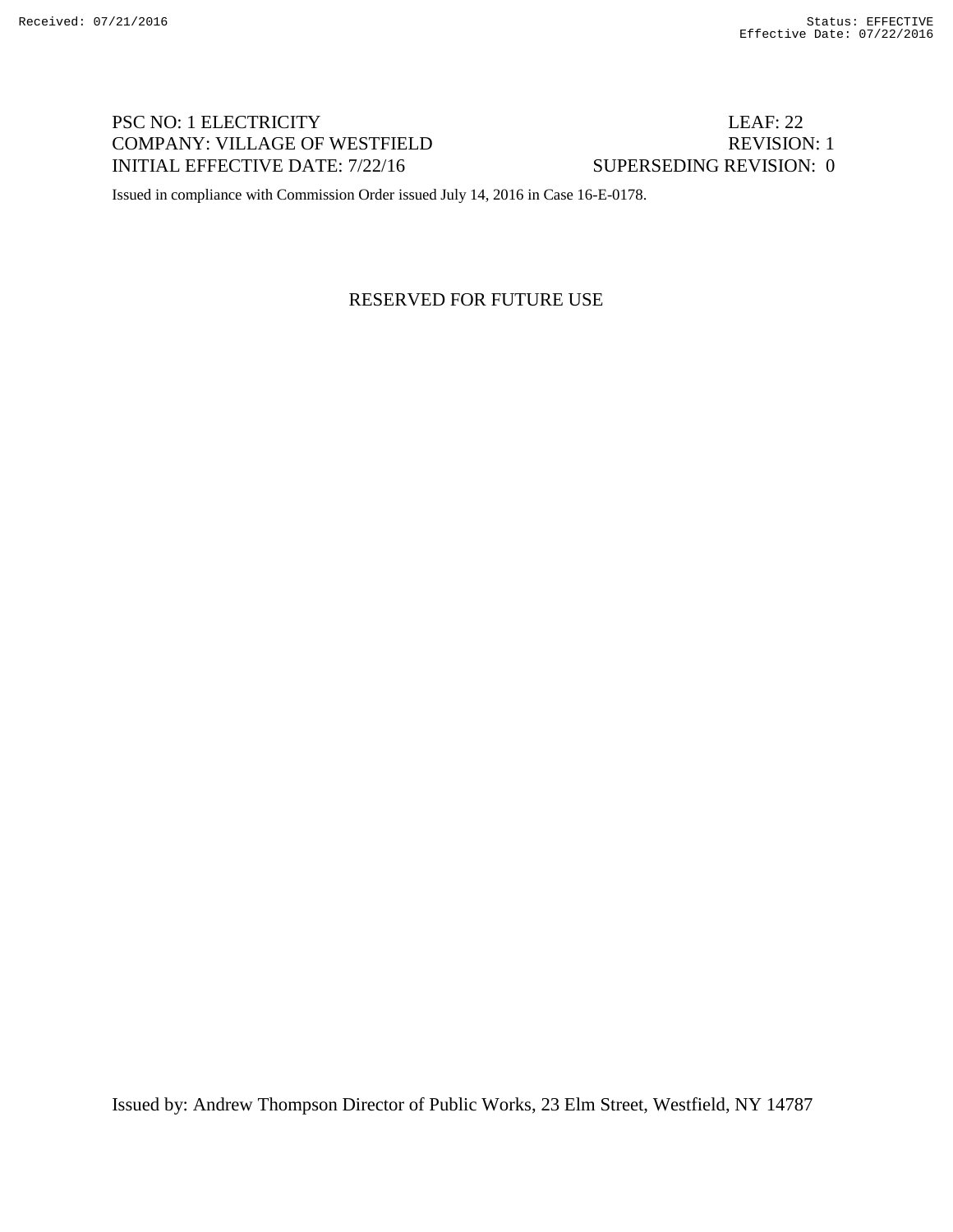# PSC NO: 1 ELECTRICITY LEAF: 22 COMPANY: VILLAGE OF WESTFIELD REVISION: 1 INITIAL EFFECTIVE DATE: 7/22/16 SUPERSEDING REVISION: 0

Issued in compliance with Commission Order issued July 14, 2016 in Case 16-E-0178.

## RESERVED FOR FUTURE USE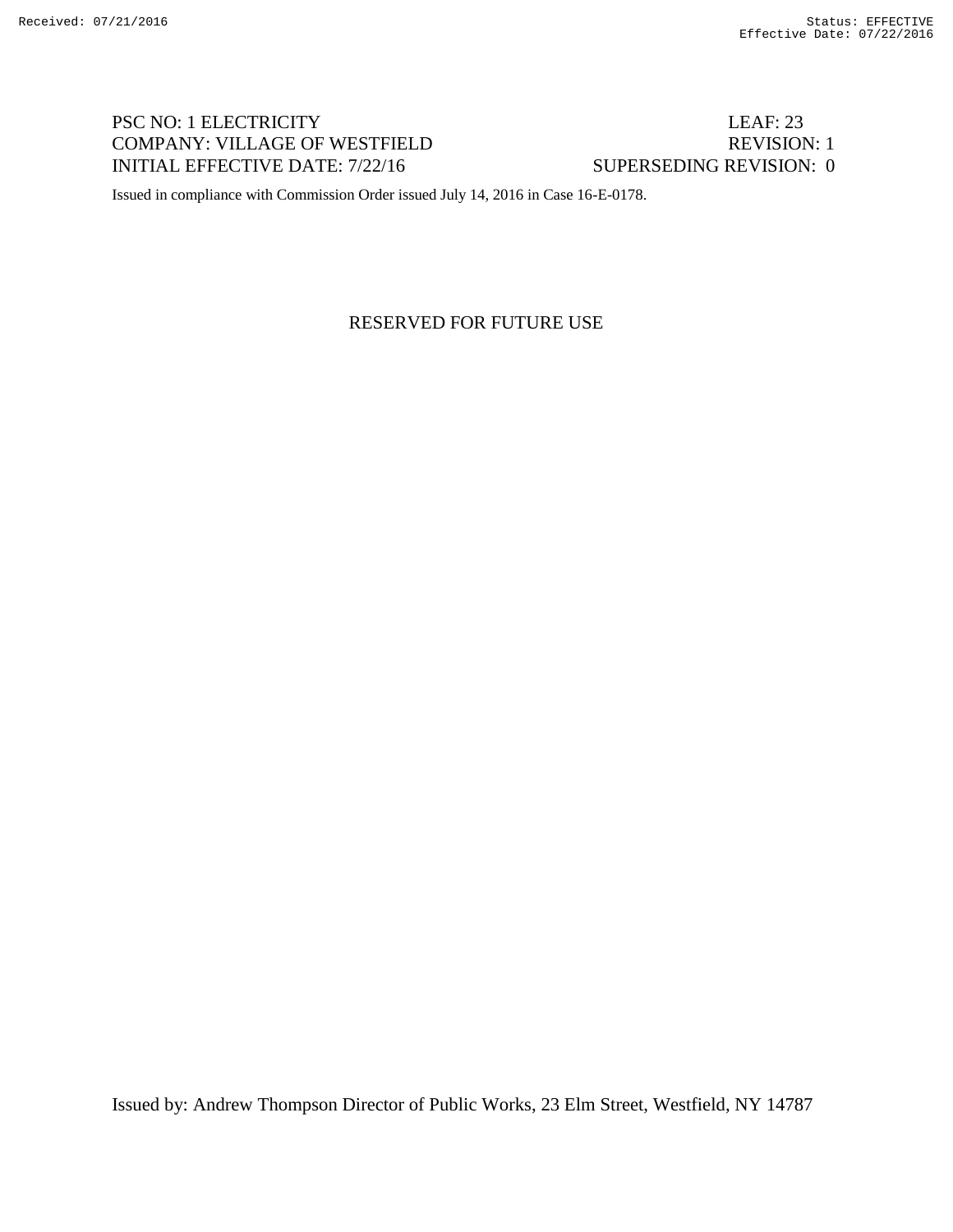# PSC NO: 1 ELECTRICITY LEAF: 23 COMPANY: VILLAGE OF WESTFIELD REVISION: 1 INITIAL EFFECTIVE DATE: 7/22/16 SUPERSEDING REVISION: 0

Issued in compliance with Commission Order issued July 14, 2016 in Case 16-E-0178.

#### RESERVED FOR FUTURE USE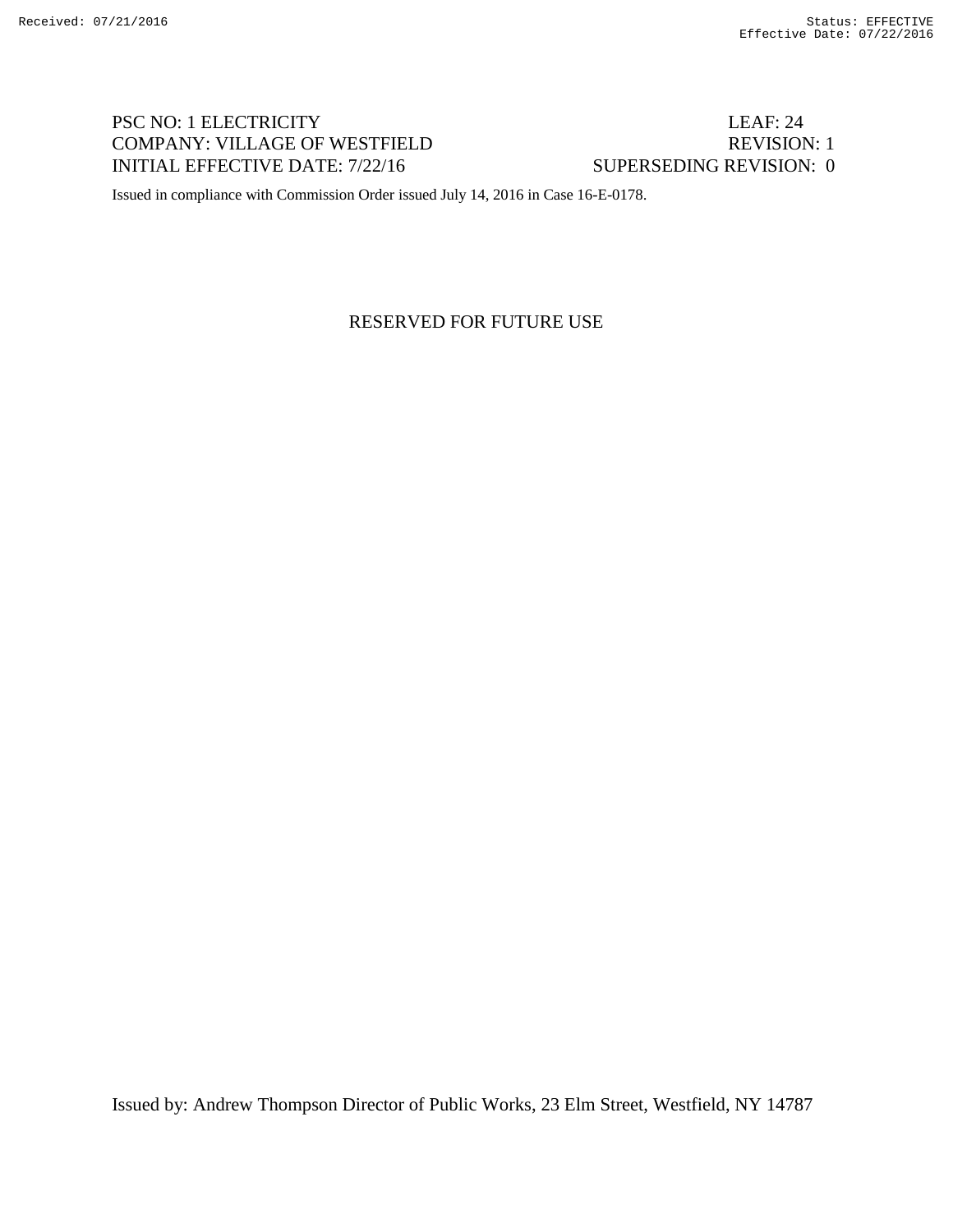# PSC NO: 1 ELECTRICITY LEAF: 24 COMPANY: VILLAGE OF WESTFIELD REVISION: 1 INITIAL EFFECTIVE DATE: 7/22/16 SUPERSEDING REVISION: 0

Issued in compliance with Commission Order issued July 14, 2016 in Case 16-E-0178.

#### RESERVED FOR FUTURE USE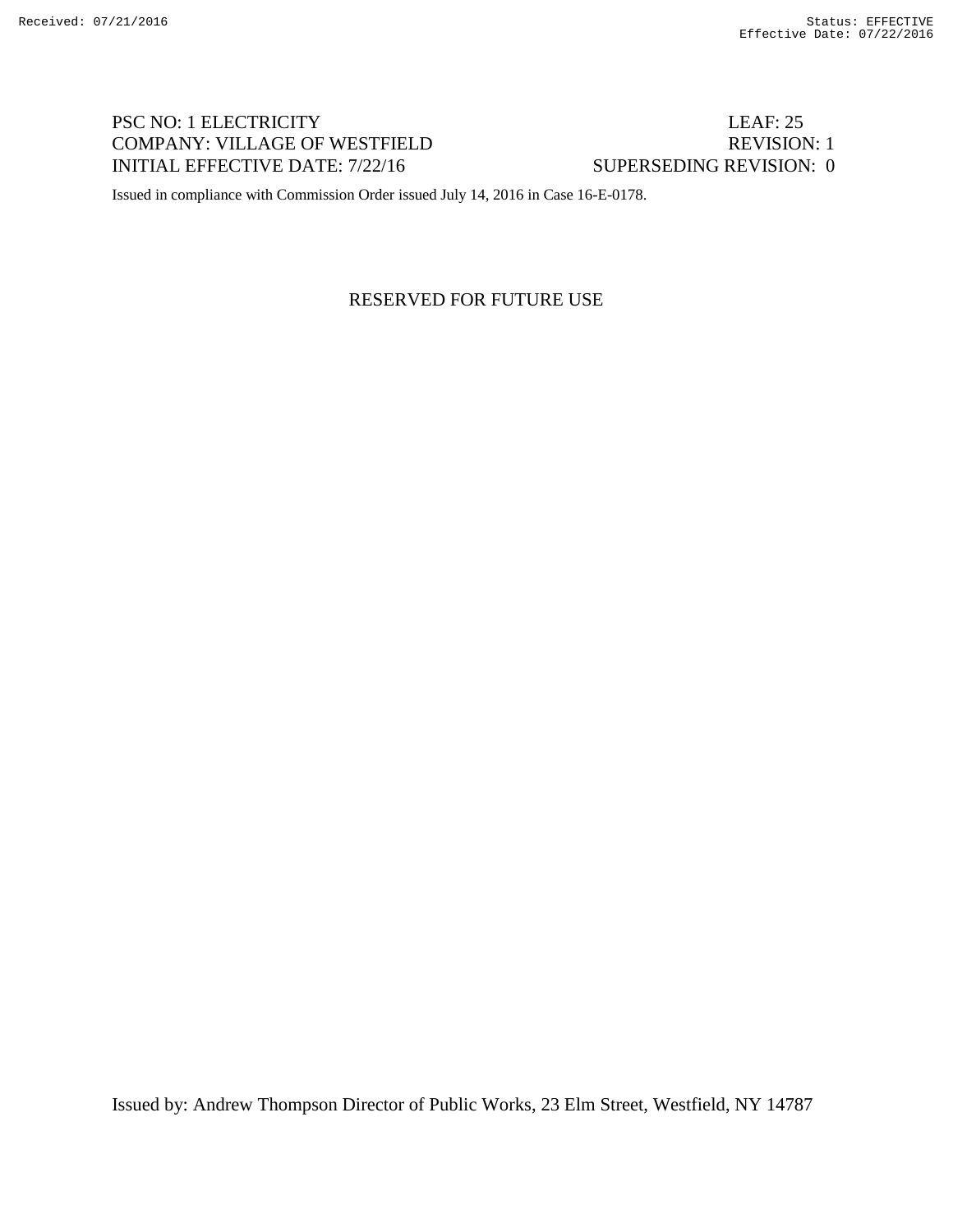# PSC NO: 1 ELECTRICITY LEAF: 25 COMPANY: VILLAGE OF WESTFIELD REVISION: 1 INITIAL EFFECTIVE DATE: 7/22/16 SUPERSEDING REVISION: 0

Issued in compliance with Commission Order issued July 14, 2016 in Case 16-E-0178.

## RESERVED FOR FUTURE USE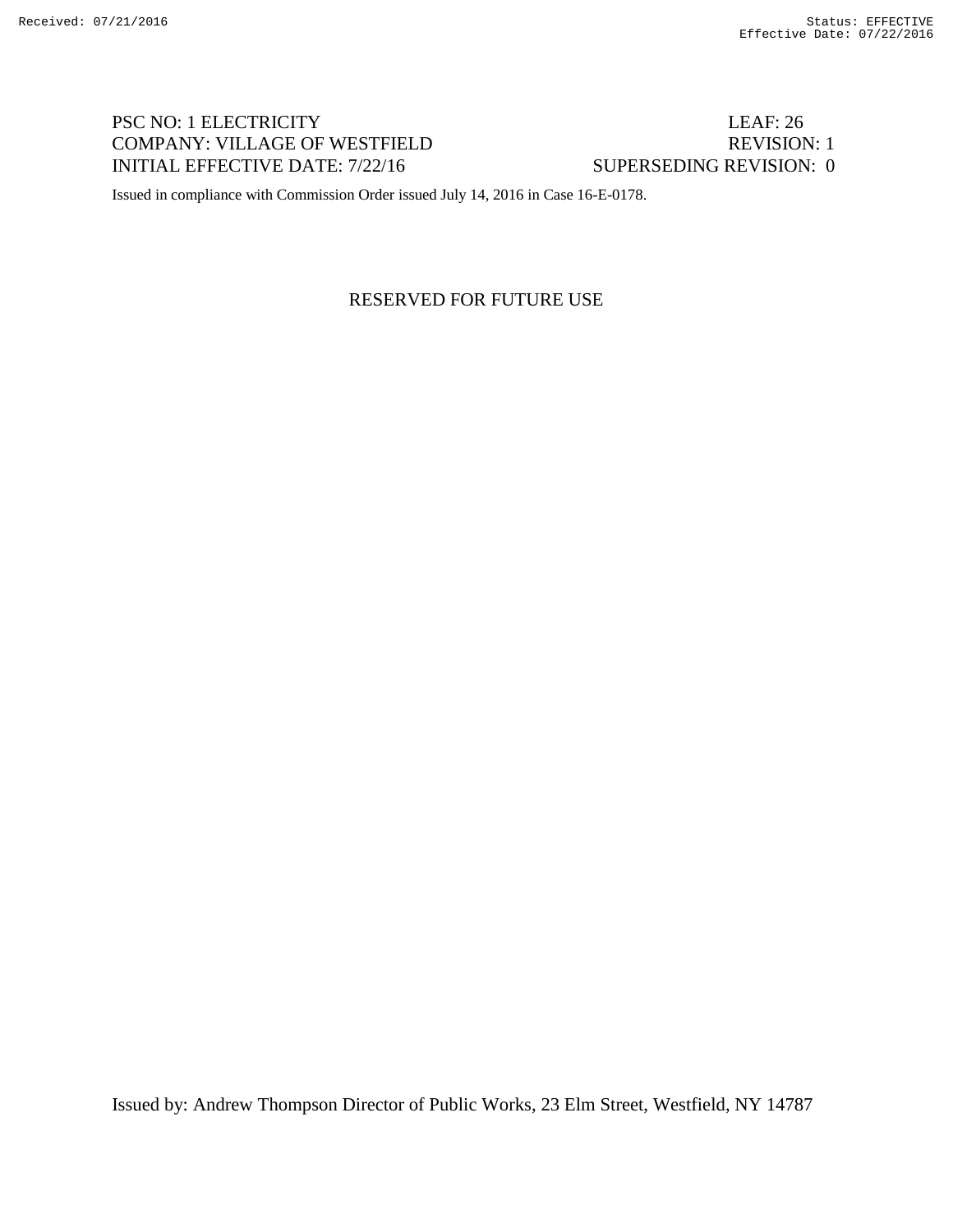# PSC NO: 1 ELECTRICITY LEAF: 26 COMPANY: VILLAGE OF WESTFIELD REVISION: 1 INITIAL EFFECTIVE DATE: 7/22/16 SUPERSEDING REVISION: 0

Issued in compliance with Commission Order issued July 14, 2016 in Case 16-E-0178.

## RESERVED FOR FUTURE USE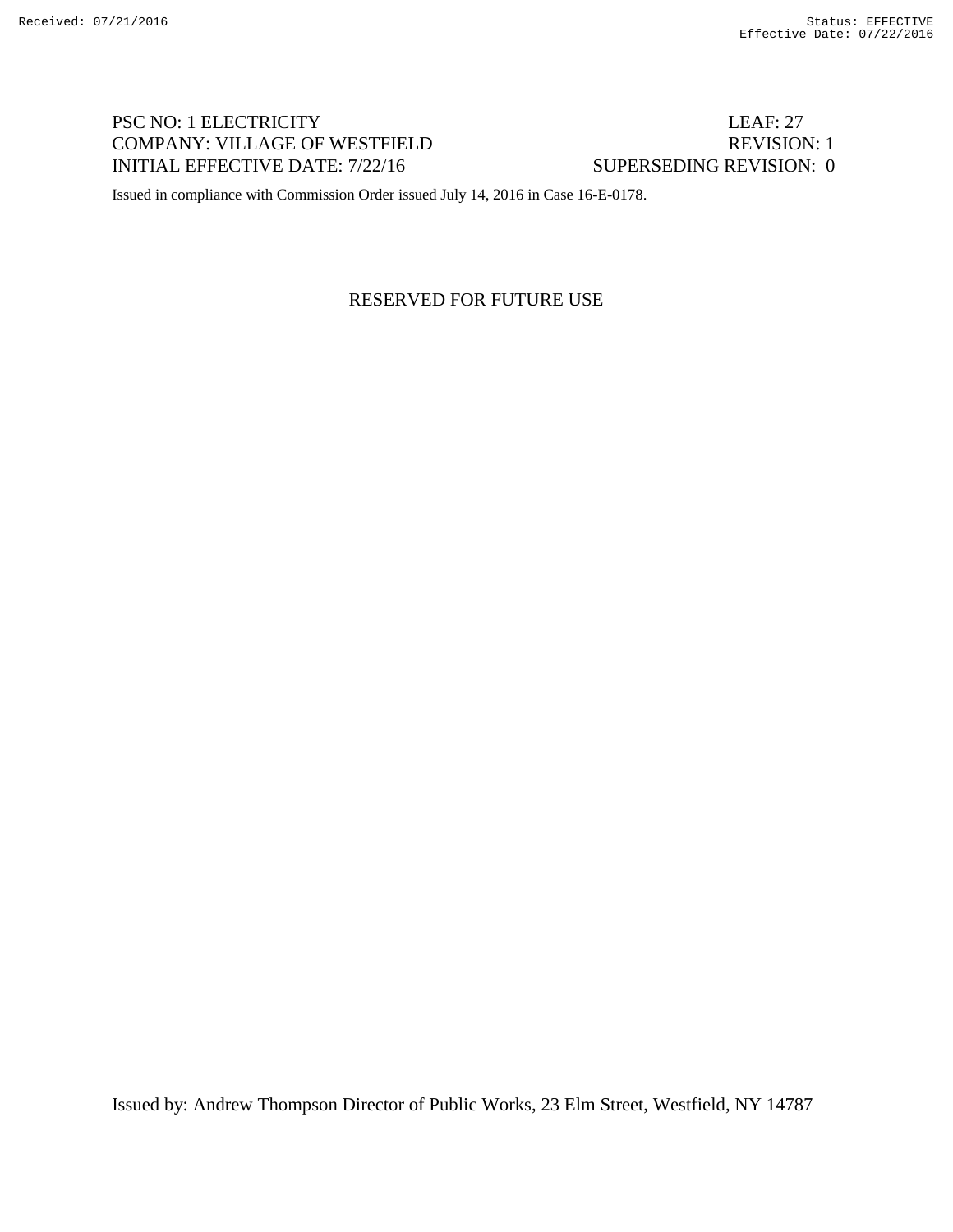# PSC NO: 1 ELECTRICITY LEAF: 27 COMPANY: VILLAGE OF WESTFIELD REVISION: 1 INITIAL EFFECTIVE DATE: 7/22/16 SUPERSEDING REVISION: 0

Issued in compliance with Commission Order issued July 14, 2016 in Case 16-E-0178.

## RESERVED FOR FUTURE USE